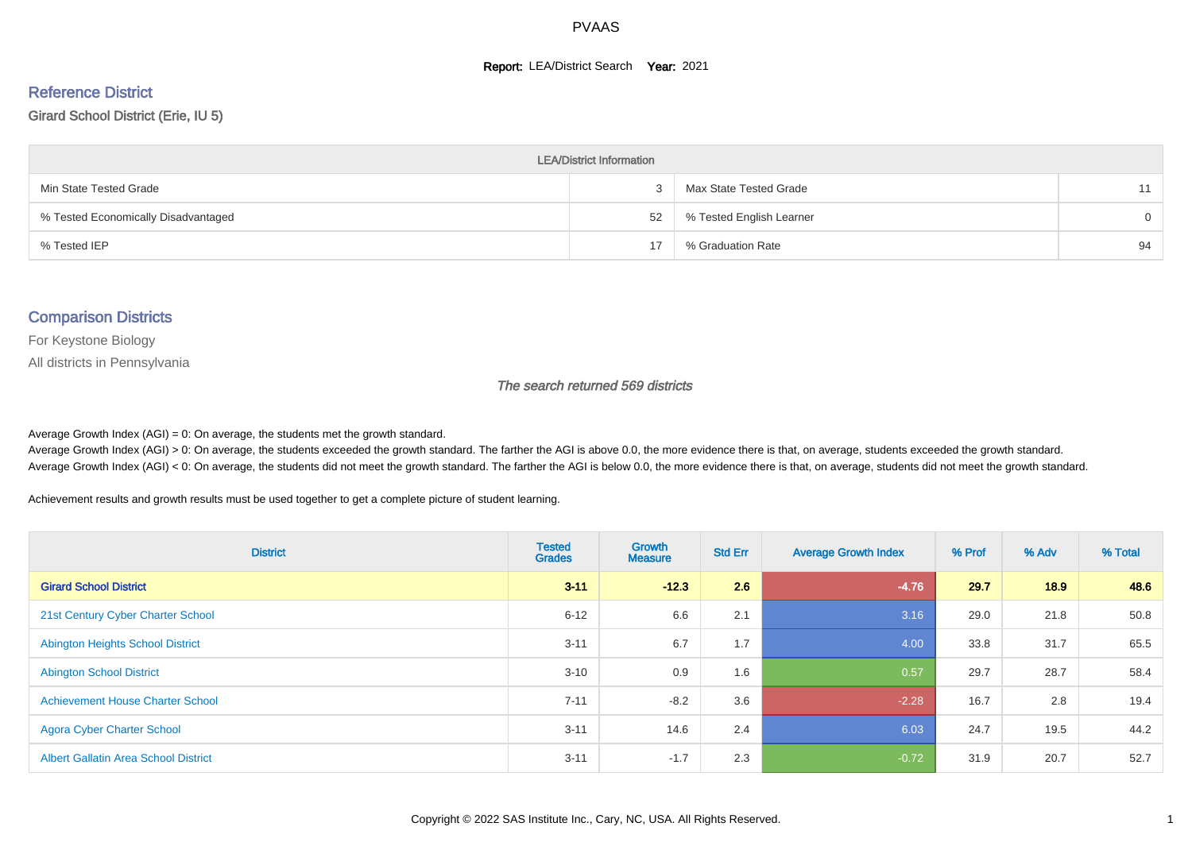#### **Report: LEA/District Search Year: 2021**

# Reference District

#### Girard School District (Erie, IU 5)

| <b>LEA/District Information</b>     |    |                          |          |  |  |  |  |  |  |  |
|-------------------------------------|----|--------------------------|----------|--|--|--|--|--|--|--|
| Min State Tested Grade              |    | Max State Tested Grade   | 11       |  |  |  |  |  |  |  |
| % Tested Economically Disadvantaged | 52 | % Tested English Learner | $\Omega$ |  |  |  |  |  |  |  |
| % Tested IEP                        | 17 | % Graduation Rate        | 94       |  |  |  |  |  |  |  |

#### Comparison Districts

For Keystone Biology

All districts in Pennsylvania

The search returned 569 districts

Average Growth Index  $(AGI) = 0$ : On average, the students met the growth standard.

Average Growth Index (AGI) > 0: On average, the students exceeded the growth standard. The farther the AGI is above 0.0, the more evidence there is that, on average, students exceeded the growth standard. Average Growth Index (AGI) < 0: On average, the students did not meet the growth standard. The farther the AGI is below 0.0, the more evidence there is that, on average, students did not meet the growth standard.

Achievement results and growth results must be used together to get a complete picture of student learning.

| <b>District</b>                             | <b>Tested</b><br><b>Grades</b> | Growth<br><b>Measure</b> | <b>Std Err</b> | <b>Average Growth Index</b> | % Prof | % Adv | % Total |
|---------------------------------------------|--------------------------------|--------------------------|----------------|-----------------------------|--------|-------|---------|
| <b>Girard School District</b>               | $3 - 11$                       | $-12.3$                  | 2.6            | $-4.76$                     | 29.7   | 18.9  | 48.6    |
| 21st Century Cyber Charter School           | $6 - 12$                       | 6.6                      | 2.1            | 3.16                        | 29.0   | 21.8  | 50.8    |
| <b>Abington Heights School District</b>     | $3 - 11$                       | 6.7                      | 1.7            | 4.00                        | 33.8   | 31.7  | 65.5    |
| <b>Abington School District</b>             | $3 - 10$                       | 0.9                      | 1.6            | 0.57                        | 29.7   | 28.7  | 58.4    |
| <b>Achievement House Charter School</b>     | $7 - 11$                       | $-8.2$                   | 3.6            | $-2.28$                     | 16.7   | 2.8   | 19.4    |
| <b>Agora Cyber Charter School</b>           | $3 - 11$                       | 14.6                     | 2.4            | 6.03                        | 24.7   | 19.5  | 44.2    |
| <b>Albert Gallatin Area School District</b> | $3 - 11$                       | $-1.7$                   | 2.3            | $-0.72$                     | 31.9   | 20.7  | 52.7    |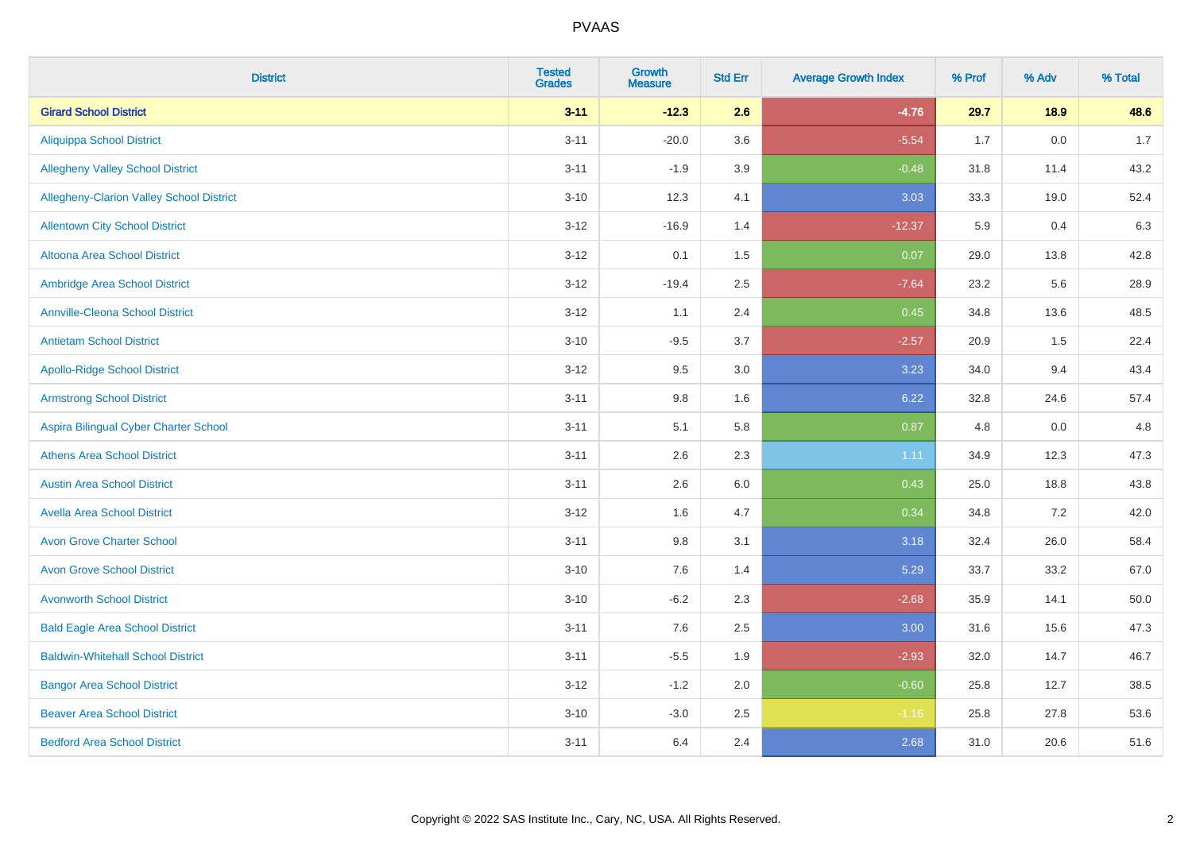| <b>District</b>                          | <b>Tested</b><br>Grades | <b>Growth</b><br><b>Measure</b> | <b>Std Err</b> | <b>Average Growth Index</b> | % Prof | % Adv | % Total |
|------------------------------------------|-------------------------|---------------------------------|----------------|-----------------------------|--------|-------|---------|
| <b>Girard School District</b>            | $3 - 11$                | $-12.3$                         | 2.6            | $-4.76$                     | 29.7   | 18.9  | 48.6    |
| <b>Aliquippa School District</b>         | $3 - 11$                | $-20.0$                         | 3.6            | $-5.54$                     | 1.7    | 0.0   | 1.7     |
| <b>Allegheny Valley School District</b>  | $3 - 11$                | $-1.9$                          | 3.9            | $-0.48$                     | 31.8   | 11.4  | 43.2    |
| Allegheny-Clarion Valley School District | $3 - 10$                | 12.3                            | 4.1            | 3.03                        | 33.3   | 19.0  | 52.4    |
| <b>Allentown City School District</b>    | $3 - 12$                | $-16.9$                         | 1.4            | $-12.37$                    | 5.9    | 0.4   | 6.3     |
| Altoona Area School District             | $3 - 12$                | 0.1                             | 1.5            | 0.07                        | 29.0   | 13.8  | 42.8    |
| Ambridge Area School District            | $3 - 12$                | $-19.4$                         | 2.5            | $-7.64$                     | 23.2   | 5.6   | 28.9    |
| <b>Annville-Cleona School District</b>   | $3 - 12$                | 1.1                             | 2.4            | 0.45                        | 34.8   | 13.6  | 48.5    |
| <b>Antietam School District</b>          | $3 - 10$                | $-9.5$                          | 3.7            | $-2.57$                     | 20.9   | 1.5   | 22.4    |
| <b>Apollo-Ridge School District</b>      | $3 - 12$                | 9.5                             | 3.0            | 3.23                        | 34.0   | 9.4   | 43.4    |
| <b>Armstrong School District</b>         | $3 - 11$                | 9.8                             | 1.6            | 6.22                        | 32.8   | 24.6  | 57.4    |
| Aspira Bilingual Cyber Charter School    | $3 - 11$                | 5.1                             | 5.8            | 0.87                        | 4.8    | 0.0   | 4.8     |
| <b>Athens Area School District</b>       | $3 - 11$                | 2.6                             | 2.3            | 1.11                        | 34.9   | 12.3  | 47.3    |
| <b>Austin Area School District</b>       | $3 - 11$                | 2.6                             | 6.0            | 0.43                        | 25.0   | 18.8  | 43.8    |
| <b>Avella Area School District</b>       | $3 - 12$                | 1.6                             | 4.7            | 0.34                        | 34.8   | 7.2   | 42.0    |
| <b>Avon Grove Charter School</b>         | $3 - 11$                | $9.8\,$                         | 3.1            | 3.18                        | 32.4   | 26.0  | 58.4    |
| <b>Avon Grove School District</b>        | $3 - 10$                | 7.6                             | 1.4            | 5.29                        | 33.7   | 33.2  | 67.0    |
| <b>Avonworth School District</b>         | $3 - 10$                | $-6.2$                          | 2.3            | $-2.68$                     | 35.9   | 14.1  | 50.0    |
| <b>Bald Eagle Area School District</b>   | $3 - 11$                | 7.6                             | 2.5            | 3.00                        | 31.6   | 15.6  | 47.3    |
| <b>Baldwin-Whitehall School District</b> | $3 - 11$                | $-5.5$                          | 1.9            | $-2.93$                     | 32.0   | 14.7  | 46.7    |
| <b>Bangor Area School District</b>       | $3 - 12$                | $-1.2$                          | 2.0            | $-0.60$                     | 25.8   | 12.7  | 38.5    |
| <b>Beaver Area School District</b>       | $3 - 10$                | $-3.0$                          | 2.5            | $-1.16$                     | 25.8   | 27.8  | 53.6    |
| <b>Bedford Area School District</b>      | $3 - 11$                | 6.4                             | 2.4            | 2.68                        | 31.0   | 20.6  | 51.6    |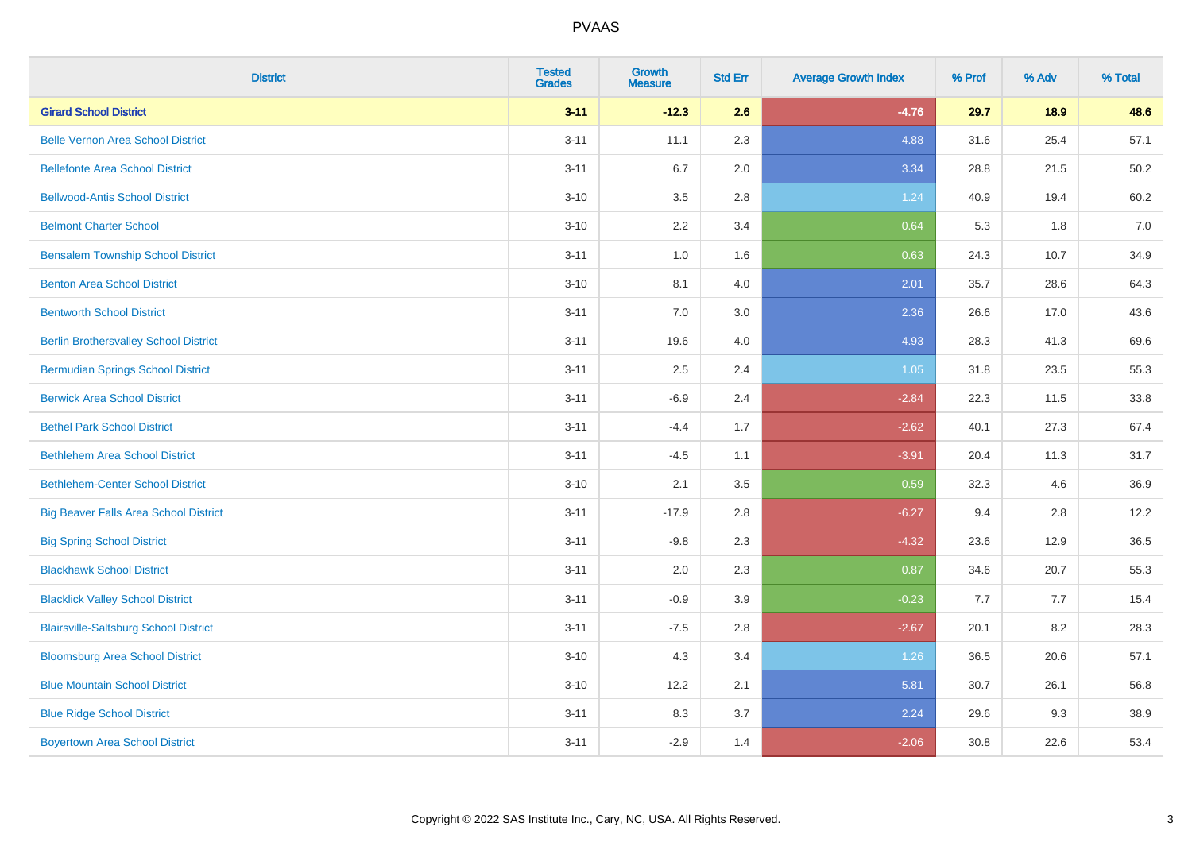| <b>District</b>                              | <b>Tested</b><br><b>Grades</b> | <b>Growth</b><br><b>Measure</b> | <b>Std Err</b> | <b>Average Growth Index</b> | % Prof | % Adv | % Total |
|----------------------------------------------|--------------------------------|---------------------------------|----------------|-----------------------------|--------|-------|---------|
| <b>Girard School District</b>                | $3 - 11$                       | $-12.3$                         | 2.6            | $-4.76$                     | 29.7   | 18.9  | 48.6    |
| <b>Belle Vernon Area School District</b>     | $3 - 11$                       | 11.1                            | 2.3            | 4.88                        | 31.6   | 25.4  | 57.1    |
| <b>Bellefonte Area School District</b>       | $3 - 11$                       | 6.7                             | 2.0            | 3.34                        | 28.8   | 21.5  | 50.2    |
| <b>Bellwood-Antis School District</b>        | $3 - 10$                       | $3.5\,$                         | 2.8            | 1.24                        | 40.9   | 19.4  | 60.2    |
| <b>Belmont Charter School</b>                | $3 - 10$                       | 2.2                             | 3.4            | 0.64                        | 5.3    | 1.8   | 7.0     |
| <b>Bensalem Township School District</b>     | $3 - 11$                       | 1.0                             | 1.6            | 0.63                        | 24.3   | 10.7  | 34.9    |
| <b>Benton Area School District</b>           | $3 - 10$                       | 8.1                             | 4.0            | 2.01                        | 35.7   | 28.6  | 64.3    |
| <b>Bentworth School District</b>             | $3 - 11$                       | 7.0                             | 3.0            | 2.36                        | 26.6   | 17.0  | 43.6    |
| <b>Berlin Brothersvalley School District</b> | $3 - 11$                       | 19.6                            | 4.0            | 4.93                        | 28.3   | 41.3  | 69.6    |
| <b>Bermudian Springs School District</b>     | $3 - 11$                       | $2.5\,$                         | 2.4            | 1.05                        | 31.8   | 23.5  | 55.3    |
| <b>Berwick Area School District</b>          | $3 - 11$                       | $-6.9$                          | 2.4            | $-2.84$                     | 22.3   | 11.5  | 33.8    |
| <b>Bethel Park School District</b>           | $3 - 11$                       | $-4.4$                          | 1.7            | $-2.62$                     | 40.1   | 27.3  | 67.4    |
| <b>Bethlehem Area School District</b>        | $3 - 11$                       | $-4.5$                          | 1.1            | $-3.91$                     | 20.4   | 11.3  | 31.7    |
| <b>Bethlehem-Center School District</b>      | $3 - 10$                       | 2.1                             | 3.5            | 0.59                        | 32.3   | 4.6   | 36.9    |
| <b>Big Beaver Falls Area School District</b> | $3 - 11$                       | $-17.9$                         | 2.8            | $-6.27$                     | 9.4    | 2.8   | 12.2    |
| <b>Big Spring School District</b>            | $3 - 11$                       | $-9.8$                          | 2.3            | $-4.32$                     | 23.6   | 12.9  | 36.5    |
| <b>Blackhawk School District</b>             | $3 - 11$                       | 2.0                             | 2.3            | 0.87                        | 34.6   | 20.7  | 55.3    |
| <b>Blacklick Valley School District</b>      | $3 - 11$                       | $-0.9$                          | 3.9            | $-0.23$                     | 7.7    | 7.7   | 15.4    |
| <b>Blairsville-Saltsburg School District</b> | $3 - 11$                       | $-7.5$                          | 2.8            | $-2.67$                     | 20.1   | 8.2   | 28.3    |
| <b>Bloomsburg Area School District</b>       | $3 - 10$                       | 4.3                             | 3.4            | 1.26                        | 36.5   | 20.6  | 57.1    |
| <b>Blue Mountain School District</b>         | $3 - 10$                       | 12.2                            | 2.1            | 5.81                        | 30.7   | 26.1  | 56.8    |
| <b>Blue Ridge School District</b>            | $3 - 11$                       | 8.3                             | 3.7            | 2.24                        | 29.6   | 9.3   | 38.9    |
| <b>Boyertown Area School District</b>        | $3 - 11$                       | $-2.9$                          | 1.4            | $-2.06$                     | 30.8   | 22.6  | 53.4    |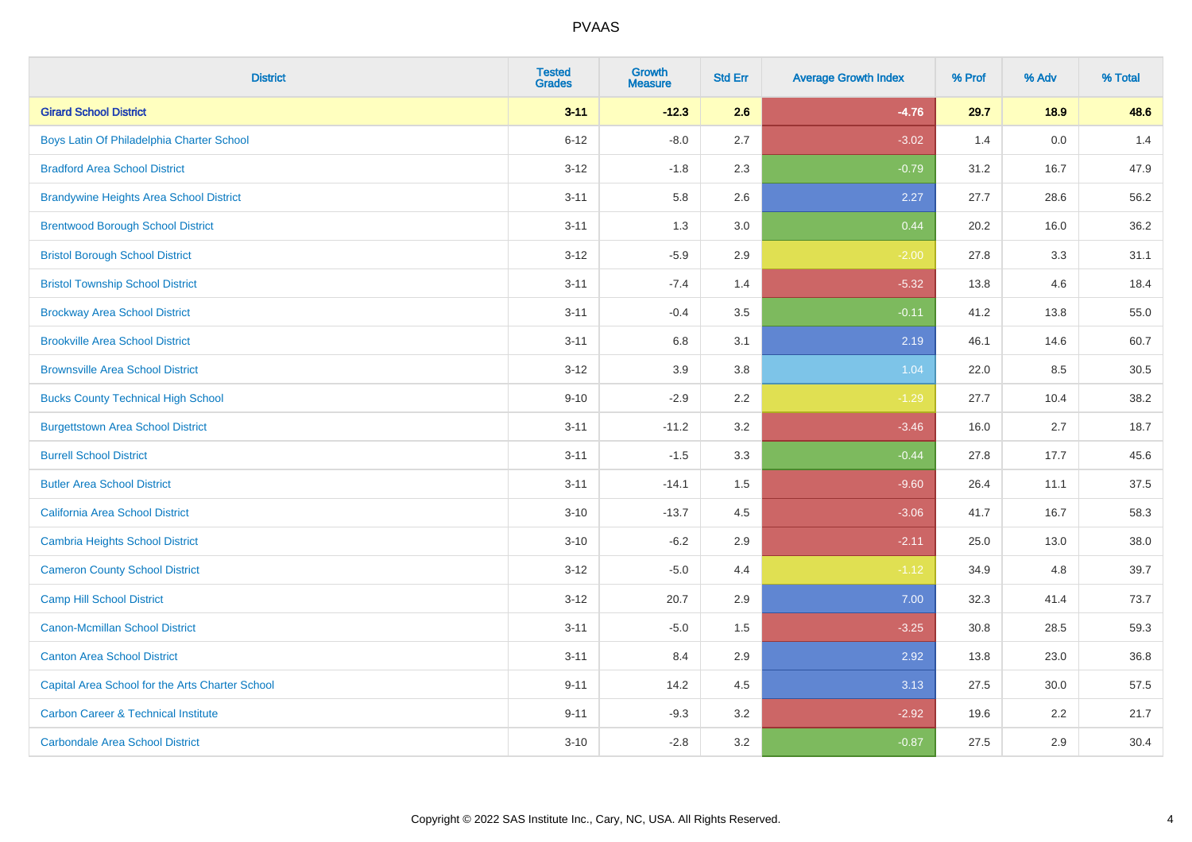| <b>District</b>                                 | <b>Tested</b><br><b>Grades</b> | <b>Growth</b><br><b>Measure</b> | <b>Std Err</b> | <b>Average Growth Index</b> | % Prof | % Adv | % Total  |
|-------------------------------------------------|--------------------------------|---------------------------------|----------------|-----------------------------|--------|-------|----------|
| <b>Girard School District</b>                   | $3 - 11$                       | $-12.3$                         | 2.6            | $-4.76$                     | 29.7   | 18.9  | 48.6     |
| Boys Latin Of Philadelphia Charter School       | $6 - 12$                       | $-8.0$                          | 2.7            | $-3.02$                     | 1.4    | 0.0   | 1.4      |
| <b>Bradford Area School District</b>            | $3 - 12$                       | $-1.8$                          | 2.3            | $-0.79$                     | 31.2   | 16.7  | 47.9     |
| <b>Brandywine Heights Area School District</b>  | $3 - 11$                       | 5.8                             | 2.6            | 2.27                        | 27.7   | 28.6  | 56.2     |
| <b>Brentwood Borough School District</b>        | $3 - 11$                       | 1.3                             | 3.0            | 0.44                        | 20.2   | 16.0  | 36.2     |
| <b>Bristol Borough School District</b>          | $3 - 12$                       | $-5.9$                          | 2.9            | $-2.00$                     | 27.8   | 3.3   | 31.1     |
| <b>Bristol Township School District</b>         | $3 - 11$                       | $-7.4$                          | 1.4            | $-5.32$                     | 13.8   | 4.6   | 18.4     |
| <b>Brockway Area School District</b>            | $3 - 11$                       | $-0.4$                          | 3.5            | $-0.11$                     | 41.2   | 13.8  | 55.0     |
| <b>Brookville Area School District</b>          | $3 - 11$                       | 6.8                             | 3.1            | 2.19                        | 46.1   | 14.6  | 60.7     |
| <b>Brownsville Area School District</b>         | $3 - 12$                       | $3.9\,$                         | 3.8            | 1.04                        | 22.0   | 8.5   | $30.5\,$ |
| <b>Bucks County Technical High School</b>       | $9 - 10$                       | $-2.9$                          | 2.2            | $-1.29$                     | 27.7   | 10.4  | 38.2     |
| <b>Burgettstown Area School District</b>        | $3 - 11$                       | $-11.2$                         | 3.2            | $-3.46$                     | 16.0   | 2.7   | 18.7     |
| <b>Burrell School District</b>                  | $3 - 11$                       | $-1.5$                          | 3.3            | $-0.44$                     | 27.8   | 17.7  | 45.6     |
| <b>Butler Area School District</b>              | $3 - 11$                       | $-14.1$                         | 1.5            | $-9.60$                     | 26.4   | 11.1  | 37.5     |
| California Area School District                 | $3 - 10$                       | $-13.7$                         | 4.5            | $-3.06$                     | 41.7   | 16.7  | 58.3     |
| <b>Cambria Heights School District</b>          | $3 - 10$                       | $-6.2$                          | 2.9            | $-2.11$                     | 25.0   | 13.0  | 38.0     |
| <b>Cameron County School District</b>           | $3 - 12$                       | $-5.0$                          | 4.4            | $-1.12$                     | 34.9   | 4.8   | 39.7     |
| <b>Camp Hill School District</b>                | $3 - 12$                       | 20.7                            | 2.9            | 7.00                        | 32.3   | 41.4  | 73.7     |
| <b>Canon-Mcmillan School District</b>           | $3 - 11$                       | $-5.0$                          | 1.5            | $-3.25$                     | 30.8   | 28.5  | 59.3     |
| <b>Canton Area School District</b>              | $3 - 11$                       | 8.4                             | 2.9            | 2.92                        | 13.8   | 23.0  | 36.8     |
| Capital Area School for the Arts Charter School | $9 - 11$                       | 14.2                            | 4.5            | 3.13                        | 27.5   | 30.0  | 57.5     |
| <b>Carbon Career &amp; Technical Institute</b>  | $9 - 11$                       | $-9.3$                          | 3.2            | $-2.92$                     | 19.6   | 2.2   | 21.7     |
| <b>Carbondale Area School District</b>          | $3 - 10$                       | $-2.8$                          | 3.2            | $-0.87$                     | 27.5   | 2.9   | 30.4     |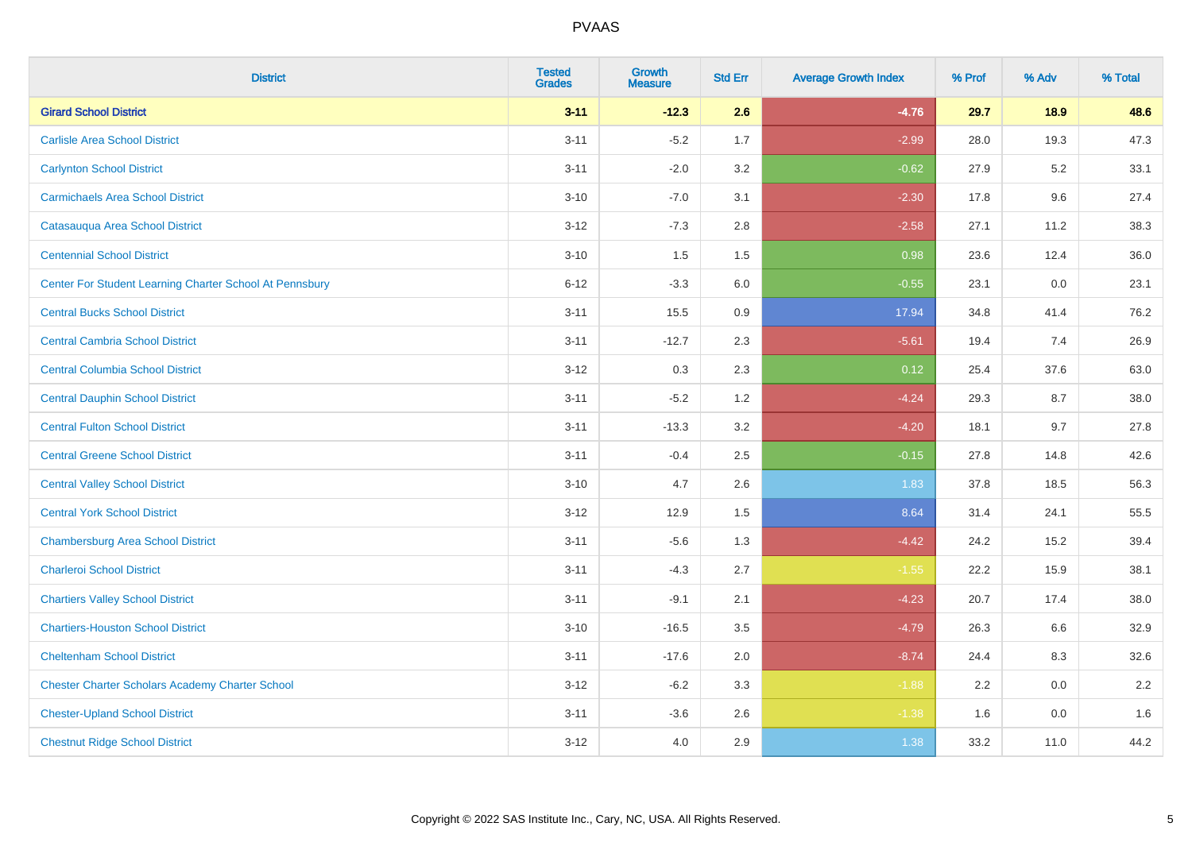| <b>District</b>                                         | <b>Tested</b><br><b>Grades</b> | <b>Growth</b><br><b>Measure</b> | <b>Std Err</b> | <b>Average Growth Index</b> | % Prof | % Adv   | % Total |
|---------------------------------------------------------|--------------------------------|---------------------------------|----------------|-----------------------------|--------|---------|---------|
| <b>Girard School District</b>                           | $3 - 11$                       | $-12.3$                         | 2.6            | $-4.76$                     | 29.7   | 18.9    | 48.6    |
| <b>Carlisle Area School District</b>                    | $3 - 11$                       | $-5.2$                          | 1.7            | $-2.99$                     | 28.0   | 19.3    | 47.3    |
| <b>Carlynton School District</b>                        | $3 - 11$                       | $-2.0$                          | 3.2            | $-0.62$                     | 27.9   | $5.2\,$ | 33.1    |
| <b>Carmichaels Area School District</b>                 | $3 - 10$                       | $-7.0$                          | 3.1            | $-2.30$                     | 17.8   | 9.6     | 27.4    |
| Catasauqua Area School District                         | $3-12$                         | $-7.3$                          | 2.8            | $-2.58$                     | 27.1   | 11.2    | 38.3    |
| <b>Centennial School District</b>                       | $3 - 10$                       | 1.5                             | 1.5            | 0.98                        | 23.6   | 12.4    | 36.0    |
| Center For Student Learning Charter School At Pennsbury | $6 - 12$                       | $-3.3$                          | 6.0            | $-0.55$                     | 23.1   | 0.0     | 23.1    |
| <b>Central Bucks School District</b>                    | $3 - 11$                       | 15.5                            | 0.9            | 17.94                       | 34.8   | 41.4    | 76.2    |
| <b>Central Cambria School District</b>                  | $3 - 11$                       | $-12.7$                         | 2.3            | $-5.61$                     | 19.4   | 7.4     | 26.9    |
| <b>Central Columbia School District</b>                 | $3 - 12$                       | 0.3                             | 2.3            | 0.12                        | 25.4   | 37.6    | 63.0    |
| <b>Central Dauphin School District</b>                  | $3 - 11$                       | $-5.2$                          | 1.2            | $-4.24$                     | 29.3   | 8.7     | 38.0    |
| <b>Central Fulton School District</b>                   | $3 - 11$                       | $-13.3$                         | 3.2            | $-4.20$                     | 18.1   | 9.7     | 27.8    |
| <b>Central Greene School District</b>                   | $3 - 11$                       | $-0.4$                          | 2.5            | $-0.15$                     | 27.8   | 14.8    | 42.6    |
| <b>Central Valley School District</b>                   | $3 - 10$                       | 4.7                             | 2.6            | 1.83                        | 37.8   | 18.5    | 56.3    |
| <b>Central York School District</b>                     | $3 - 12$                       | 12.9                            | 1.5            | 8.64                        | 31.4   | 24.1    | 55.5    |
| <b>Chambersburg Area School District</b>                | $3 - 11$                       | $-5.6$                          | 1.3            | $-4.42$                     | 24.2   | 15.2    | 39.4    |
| <b>Charleroi School District</b>                        | $3 - 11$                       | $-4.3$                          | 2.7            | $-1.55$                     | 22.2   | 15.9    | 38.1    |
| <b>Chartiers Valley School District</b>                 | $3 - 11$                       | $-9.1$                          | 2.1            | $-4.23$                     | 20.7   | 17.4    | 38.0    |
| <b>Chartiers-Houston School District</b>                | $3 - 10$                       | $-16.5$                         | 3.5            | $-4.79$                     | 26.3   | 6.6     | 32.9    |
| <b>Cheltenham School District</b>                       | $3 - 11$                       | $-17.6$                         | 2.0            | $-8.74$                     | 24.4   | 8.3     | 32.6    |
| <b>Chester Charter Scholars Academy Charter School</b>  | $3 - 12$                       | $-6.2$                          | 3.3            | $-1.88$                     | 2.2    | 0.0     | 2.2     |
| <b>Chester-Upland School District</b>                   | $3 - 11$                       | $-3.6$                          | 2.6            | $-1.38$                     | 1.6    | 0.0     | 1.6     |
| <b>Chestnut Ridge School District</b>                   | $3 - 12$                       | 4.0                             | 2.9            | 1.38                        | 33.2   | 11.0    | 44.2    |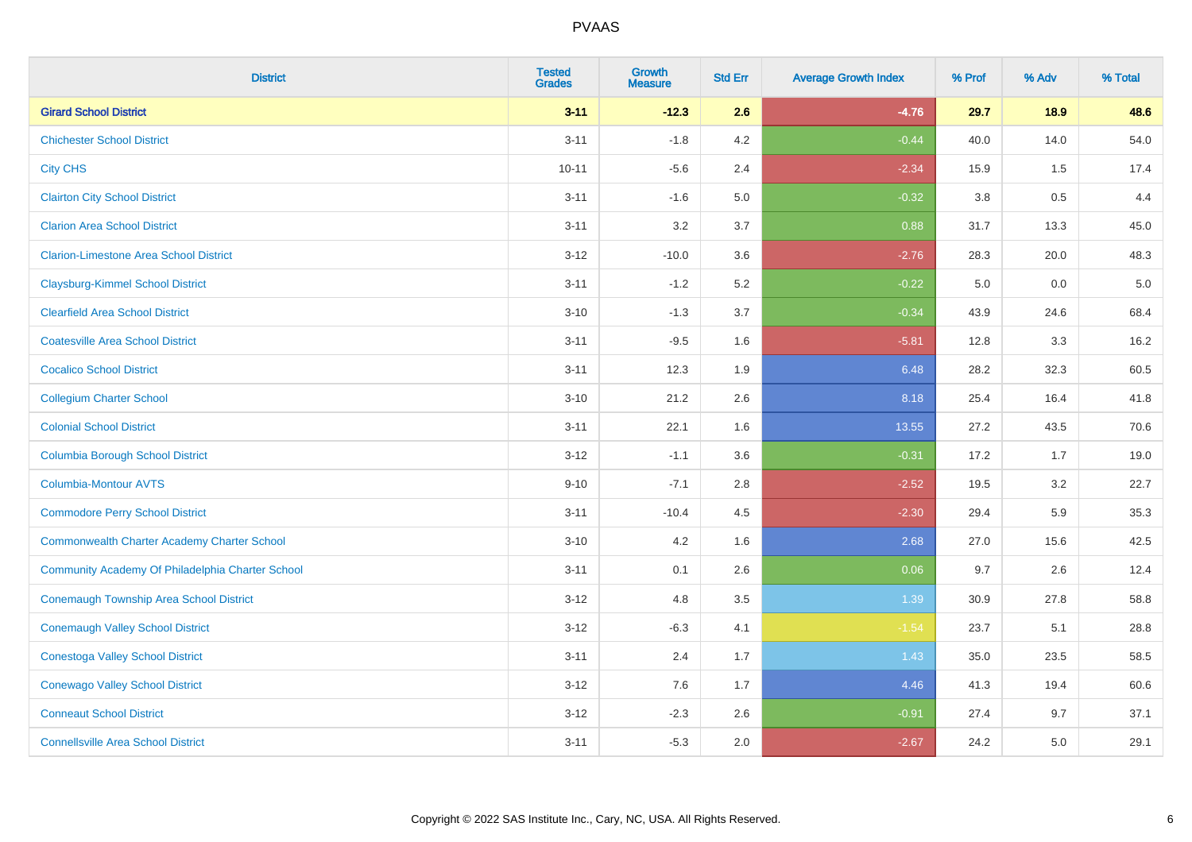| <b>District</b>                                    | <b>Tested</b><br><b>Grades</b> | <b>Growth</b><br><b>Measure</b> | <b>Std Err</b> | <b>Average Growth Index</b> | % Prof | % Adv   | % Total |
|----------------------------------------------------|--------------------------------|---------------------------------|----------------|-----------------------------|--------|---------|---------|
| <b>Girard School District</b>                      | $3 - 11$                       | $-12.3$                         | 2.6            | $-4.76$                     | 29.7   | 18.9    | 48.6    |
| <b>Chichester School District</b>                  | $3 - 11$                       | $-1.8$                          | 4.2            | $-0.44$                     | 40.0   | 14.0    | 54.0    |
| <b>City CHS</b>                                    | $10 - 11$                      | $-5.6$                          | 2.4            | $-2.34$                     | 15.9   | 1.5     | 17.4    |
| <b>Clairton City School District</b>               | $3 - 11$                       | $-1.6$                          | $5.0\,$        | $-0.32$                     | 3.8    | $0.5\,$ | 4.4     |
| <b>Clarion Area School District</b>                | $3 - 11$                       | 3.2                             | 3.7            | 0.88                        | 31.7   | 13.3    | 45.0    |
| <b>Clarion-Limestone Area School District</b>      | $3 - 12$                       | $-10.0$                         | 3.6            | $-2.76$                     | 28.3   | 20.0    | 48.3    |
| <b>Claysburg-Kimmel School District</b>            | $3 - 11$                       | $-1.2$                          | 5.2            | $-0.22$                     | 5.0    | 0.0     | $5.0$   |
| <b>Clearfield Area School District</b>             | $3 - 10$                       | $-1.3$                          | 3.7            | $-0.34$                     | 43.9   | 24.6    | 68.4    |
| <b>Coatesville Area School District</b>            | $3 - 11$                       | $-9.5$                          | 1.6            | $-5.81$                     | 12.8   | 3.3     | 16.2    |
| <b>Cocalico School District</b>                    | $3 - 11$                       | 12.3                            | 1.9            | 6.48                        | 28.2   | 32.3    | 60.5    |
| <b>Collegium Charter School</b>                    | $3 - 10$                       | 21.2                            | 2.6            | 8.18                        | 25.4   | 16.4    | 41.8    |
| <b>Colonial School District</b>                    | $3 - 11$                       | 22.1                            | 1.6            | 13.55                       | 27.2   | 43.5    | 70.6    |
| <b>Columbia Borough School District</b>            | $3 - 12$                       | $-1.1$                          | 3.6            | $-0.31$                     | 17.2   | 1.7     | 19.0    |
| <b>Columbia-Montour AVTS</b>                       | $9 - 10$                       | $-7.1$                          | 2.8            | $-2.52$                     | 19.5   | 3.2     | 22.7    |
| <b>Commodore Perry School District</b>             | $3 - 11$                       | $-10.4$                         | 4.5            | $-2.30$                     | 29.4   | 5.9     | 35.3    |
| <b>Commonwealth Charter Academy Charter School</b> | $3 - 10$                       | 4.2                             | 1.6            | 2.68                        | 27.0   | 15.6    | 42.5    |
| Community Academy Of Philadelphia Charter School   | $3 - 11$                       | 0.1                             | 2.6            | 0.06                        | 9.7    | 2.6     | 12.4    |
| <b>Conemaugh Township Area School District</b>     | $3 - 12$                       | 4.8                             | 3.5            | 1.39                        | 30.9   | 27.8    | 58.8    |
| <b>Conemaugh Valley School District</b>            | $3 - 12$                       | $-6.3$                          | 4.1            | $-1.54$                     | 23.7   | 5.1     | 28.8    |
| <b>Conestoga Valley School District</b>            | $3 - 11$                       | 2.4                             | 1.7            | 1.43                        | 35.0   | 23.5    | 58.5    |
| <b>Conewago Valley School District</b>             | $3 - 12$                       | 7.6                             | 1.7            | 4.46                        | 41.3   | 19.4    | 60.6    |
| <b>Conneaut School District</b>                    | $3 - 12$                       | $-2.3$                          | 2.6            | $-0.91$                     | 27.4   | 9.7     | 37.1    |
| <b>Connellsville Area School District</b>          | $3 - 11$                       | $-5.3$                          | 2.0            | $-2.67$                     | 24.2   | 5.0     | 29.1    |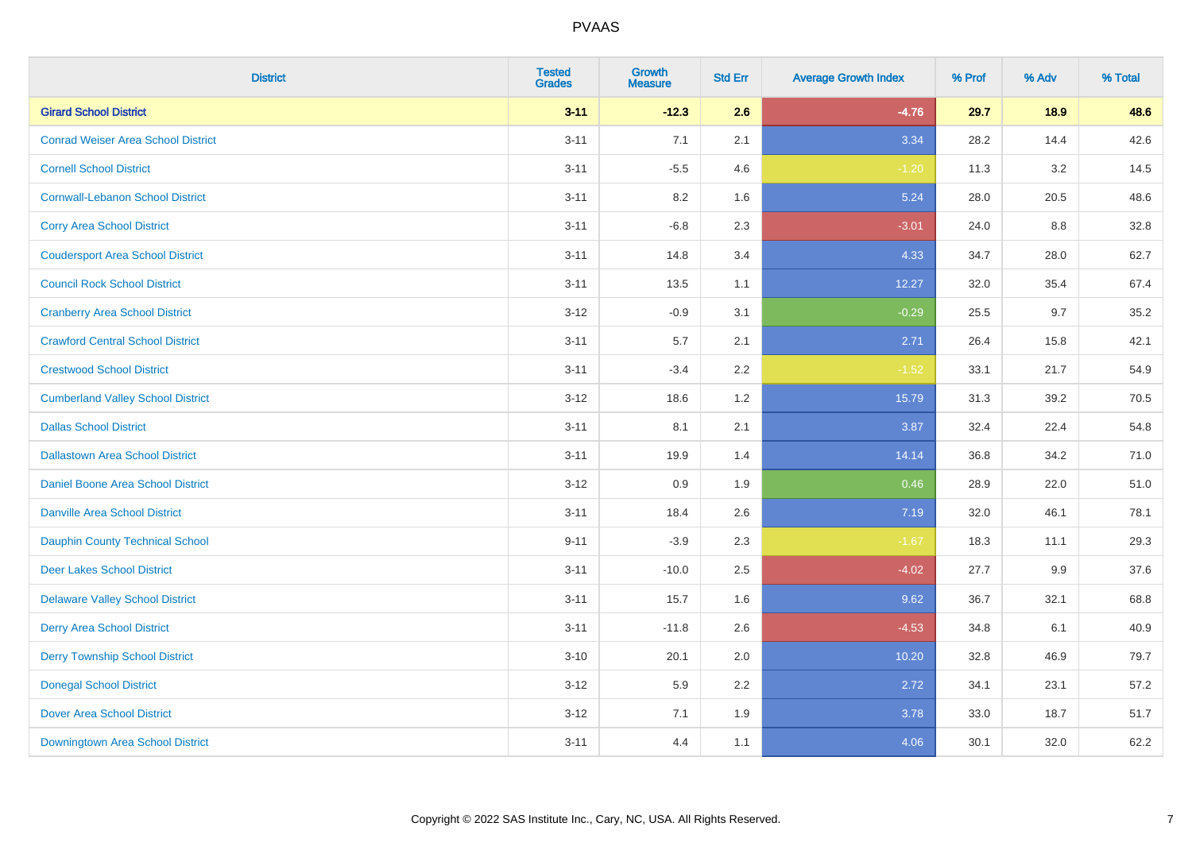| <b>District</b>                           | <b>Tested</b><br><b>Grades</b> | <b>Growth</b><br><b>Measure</b> | <b>Std Err</b> | <b>Average Growth Index</b> | % Prof | % Adv | % Total |
|-------------------------------------------|--------------------------------|---------------------------------|----------------|-----------------------------|--------|-------|---------|
| <b>Girard School District</b>             | $3 - 11$                       | $-12.3$                         | 2.6            | $-4.76$                     | 29.7   | 18.9  | 48.6    |
| <b>Conrad Weiser Area School District</b> | $3 - 11$                       | 7.1                             | 2.1            | 3.34                        | 28.2   | 14.4  | 42.6    |
| <b>Cornell School District</b>            | $3 - 11$                       | $-5.5$                          | 4.6            | $-1.20$                     | 11.3   | 3.2   | 14.5    |
| <b>Cornwall-Lebanon School District</b>   | $3 - 11$                       | $8.2\,$                         | 1.6            | 5.24                        | 28.0   | 20.5  | 48.6    |
| <b>Corry Area School District</b>         | $3 - 11$                       | $-6.8$                          | 2.3            | $-3.01$                     | 24.0   | 8.8   | 32.8    |
| <b>Coudersport Area School District</b>   | $3 - 11$                       | 14.8                            | 3.4            | 4.33                        | 34.7   | 28.0  | 62.7    |
| <b>Council Rock School District</b>       | $3 - 11$                       | 13.5                            | 1.1            | 12.27                       | 32.0   | 35.4  | 67.4    |
| <b>Cranberry Area School District</b>     | $3 - 12$                       | $-0.9$                          | 3.1            | $-0.29$                     | 25.5   | 9.7   | 35.2    |
| <b>Crawford Central School District</b>   | $3 - 11$                       | 5.7                             | 2.1            | 2.71                        | 26.4   | 15.8  | 42.1    |
| <b>Crestwood School District</b>          | $3 - 11$                       | $-3.4$                          | $2.2\,$        | $-1.52$                     | 33.1   | 21.7  | 54.9    |
| <b>Cumberland Valley School District</b>  | $3-12$                         | 18.6                            | 1.2            | 15.79                       | 31.3   | 39.2  | 70.5    |
| <b>Dallas School District</b>             | $3 - 11$                       | 8.1                             | 2.1            | 3.87                        | 32.4   | 22.4  | 54.8    |
| <b>Dallastown Area School District</b>    | $3 - 11$                       | 19.9                            | 1.4            | 14.14                       | 36.8   | 34.2  | 71.0    |
| Daniel Boone Area School District         | $3-12$                         | 0.9                             | 1.9            | 0.46                        | 28.9   | 22.0  | 51.0    |
| <b>Danville Area School District</b>      | $3 - 11$                       | 18.4                            | 2.6            | 7.19                        | 32.0   | 46.1  | 78.1    |
| <b>Dauphin County Technical School</b>    | $9 - 11$                       | $-3.9$                          | 2.3            | $-1.67$                     | 18.3   | 11.1  | 29.3    |
| <b>Deer Lakes School District</b>         | $3 - 11$                       | $-10.0$                         | 2.5            | $-4.02$                     | 27.7   | 9.9   | 37.6    |
| <b>Delaware Valley School District</b>    | $3 - 11$                       | 15.7                            | 1.6            | 9.62                        | 36.7   | 32.1  | 68.8    |
| <b>Derry Area School District</b>         | $3 - 11$                       | $-11.8$                         | 2.6            | $-4.53$                     | 34.8   | 6.1   | 40.9    |
| <b>Derry Township School District</b>     | $3 - 10$                       | 20.1                            | 2.0            | 10.20                       | 32.8   | 46.9  | 79.7    |
| <b>Donegal School District</b>            | $3 - 12$                       | 5.9                             | 2.2            | 2.72                        | 34.1   | 23.1  | 57.2    |
| <b>Dover Area School District</b>         | $3 - 12$                       | 7.1                             | 1.9            | 3.78                        | 33.0   | 18.7  | 51.7    |
| Downingtown Area School District          | $3 - 11$                       | 4.4                             | 1.1            | 4.06                        | 30.1   | 32.0  | 62.2    |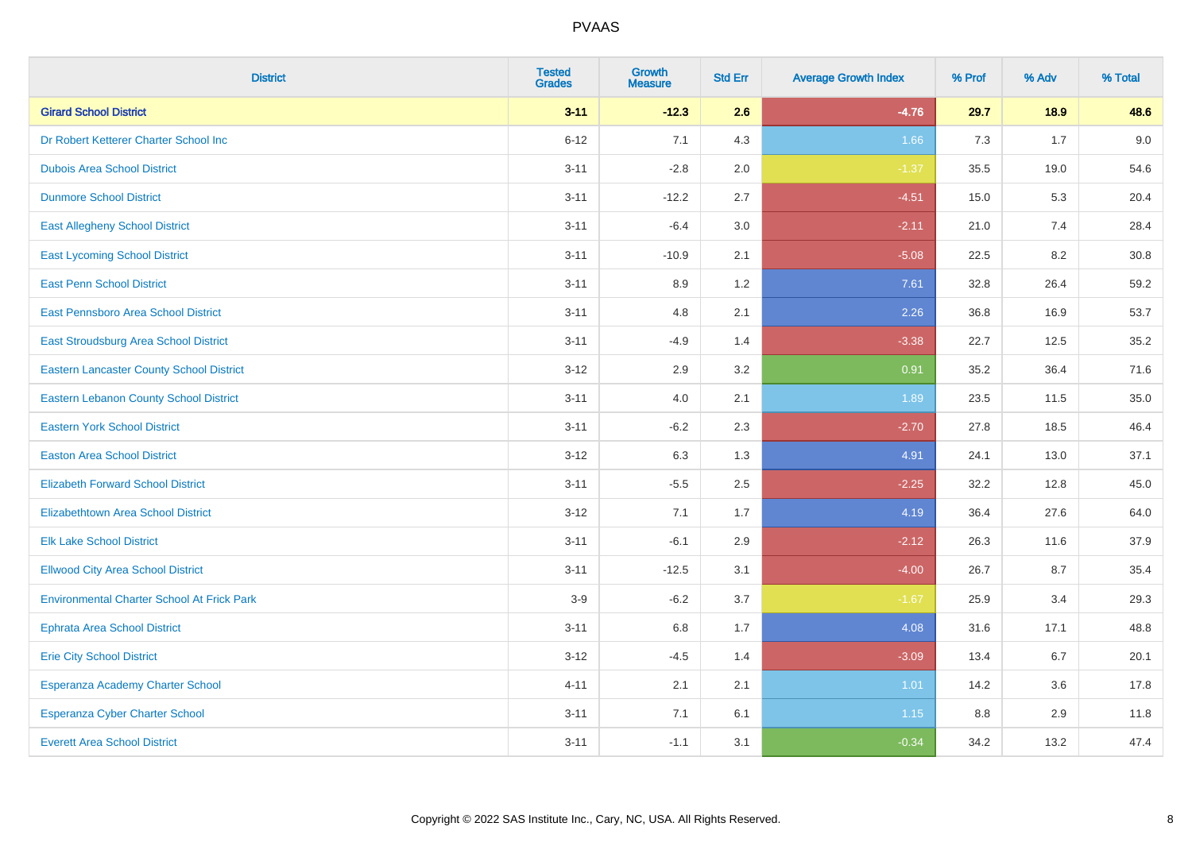| <b>District</b>                                   | <b>Tested</b><br><b>Grades</b> | <b>Growth</b><br><b>Measure</b> | <b>Std Err</b> | <b>Average Growth Index</b> | % Prof | % Adv | % Total |
|---------------------------------------------------|--------------------------------|---------------------------------|----------------|-----------------------------|--------|-------|---------|
| <b>Girard School District</b>                     | $3 - 11$                       | $-12.3$                         | 2.6            | $-4.76$                     | 29.7   | 18.9  | 48.6    |
| Dr Robert Ketterer Charter School Inc             | $6 - 12$                       | 7.1                             | 4.3            | 1.66                        | 7.3    | 1.7   | 9.0     |
| <b>Dubois Area School District</b>                | $3 - 11$                       | $-2.8$                          | 2.0            | $-1.37$                     | 35.5   | 19.0  | 54.6    |
| <b>Dunmore School District</b>                    | $3 - 11$                       | $-12.2$                         | 2.7            | $-4.51$                     | 15.0   | 5.3   | 20.4    |
| <b>East Allegheny School District</b>             | $3 - 11$                       | $-6.4$                          | 3.0            | $-2.11$                     | 21.0   | 7.4   | 28.4    |
| <b>East Lycoming School District</b>              | $3 - 11$                       | $-10.9$                         | 2.1            | $-5.08$                     | 22.5   | 8.2   | 30.8    |
| <b>East Penn School District</b>                  | $3 - 11$                       | 8.9                             | 1.2            | 7.61                        | 32.8   | 26.4  | 59.2    |
| East Pennsboro Area School District               | $3 - 11$                       | 4.8                             | 2.1            | 2.26                        | 36.8   | 16.9  | 53.7    |
| <b>East Stroudsburg Area School District</b>      | $3 - 11$                       | $-4.9$                          | 1.4            | $-3.38$                     | 22.7   | 12.5  | 35.2    |
| <b>Eastern Lancaster County School District</b>   | $3 - 12$                       | 2.9                             | 3.2            | 0.91                        | 35.2   | 36.4  | 71.6    |
| <b>Eastern Lebanon County School District</b>     | $3 - 11$                       | 4.0                             | 2.1            | 1.89                        | 23.5   | 11.5  | 35.0    |
| <b>Eastern York School District</b>               | $3 - 11$                       | $-6.2$                          | 2.3            | $-2.70$                     | 27.8   | 18.5  | 46.4    |
| <b>Easton Area School District</b>                | $3 - 12$                       | 6.3                             | 1.3            | 4.91                        | 24.1   | 13.0  | 37.1    |
| <b>Elizabeth Forward School District</b>          | $3 - 11$                       | $-5.5$                          | 2.5            | $-2.25$                     | 32.2   | 12.8  | 45.0    |
| <b>Elizabethtown Area School District</b>         | $3 - 12$                       | 7.1                             | 1.7            | 4.19                        | 36.4   | 27.6  | 64.0    |
| <b>Elk Lake School District</b>                   | $3 - 11$                       | $-6.1$                          | 2.9            | $-2.12$                     | 26.3   | 11.6  | 37.9    |
| <b>Ellwood City Area School District</b>          | $3 - 11$                       | $-12.5$                         | 3.1            | $-4.00$                     | 26.7   | 8.7   | 35.4    |
| <b>Environmental Charter School At Frick Park</b> | $3-9$                          | $-6.2$                          | 3.7            | $-1.67$                     | 25.9   | 3.4   | 29.3    |
| <b>Ephrata Area School District</b>               | $3 - 11$                       | $6.8\,$                         | 1.7            | 4.08                        | 31.6   | 17.1  | 48.8    |
| <b>Erie City School District</b>                  | $3 - 12$                       | $-4.5$                          | 1.4            | $-3.09$                     | 13.4   | 6.7   | 20.1    |
| Esperanza Academy Charter School                  | $4 - 11$                       | 2.1                             | 2.1            | 1.01                        | 14.2   | 3.6   | 17.8    |
| <b>Esperanza Cyber Charter School</b>             | $3 - 11$                       | 7.1                             | 6.1            | 1.15                        | 8.8    | 2.9   | 11.8    |
| <b>Everett Area School District</b>               | $3 - 11$                       | $-1.1$                          | 3.1            | $-0.34$                     | 34.2   | 13.2  | 47.4    |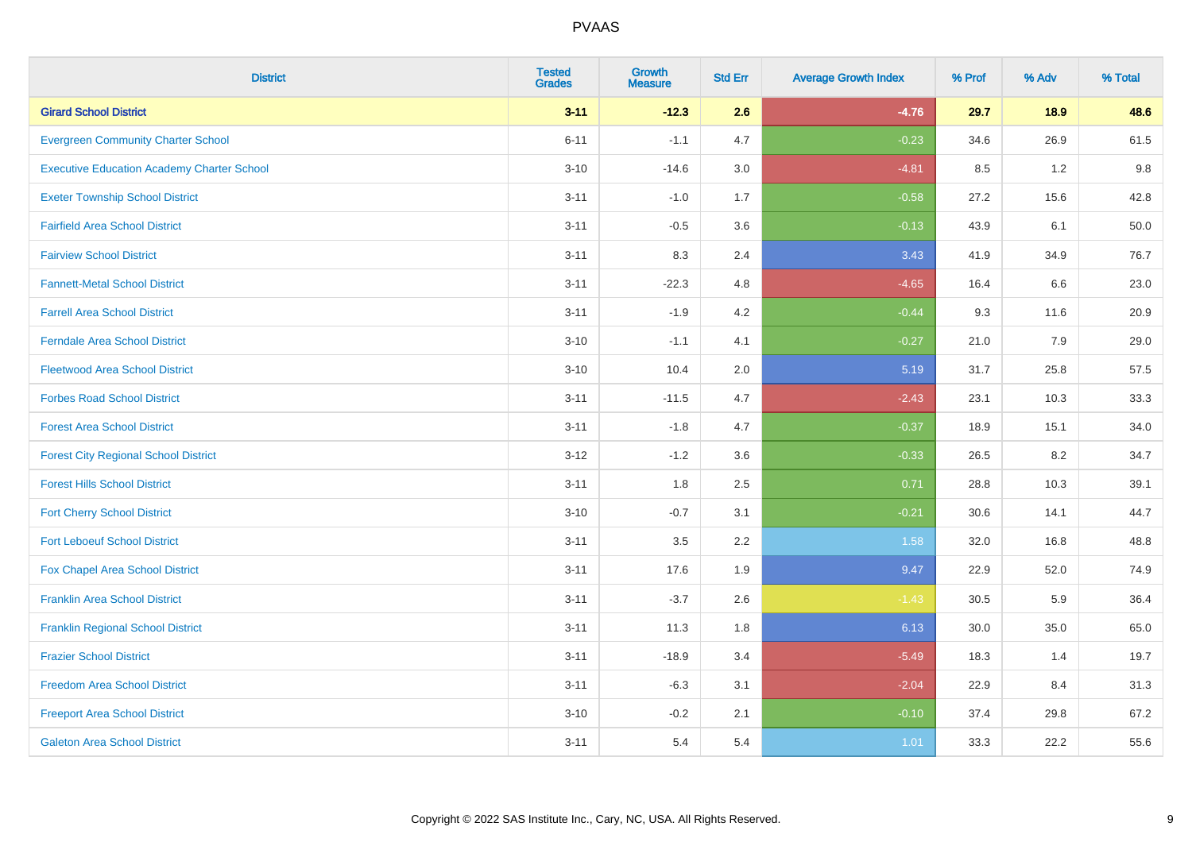| <b>District</b>                                   | <b>Tested</b><br><b>Grades</b> | <b>Growth</b><br><b>Measure</b> | <b>Std Err</b> | <b>Average Growth Index</b> | % Prof | % Adv | % Total |
|---------------------------------------------------|--------------------------------|---------------------------------|----------------|-----------------------------|--------|-------|---------|
| <b>Girard School District</b>                     | $3 - 11$                       | $-12.3$                         | 2.6            | $-4.76$                     | 29.7   | 18.9  | 48.6    |
| <b>Evergreen Community Charter School</b>         | $6 - 11$                       | $-1.1$                          | 4.7            | $-0.23$                     | 34.6   | 26.9  | 61.5    |
| <b>Executive Education Academy Charter School</b> | $3 - 10$                       | $-14.6$                         | 3.0            | $-4.81$                     | 8.5    | 1.2   | 9.8     |
| <b>Exeter Township School District</b>            | $3 - 11$                       | $-1.0$                          | 1.7            | $-0.58$                     | 27.2   | 15.6  | 42.8    |
| <b>Fairfield Area School District</b>             | $3 - 11$                       | $-0.5$                          | 3.6            | $-0.13$                     | 43.9   | 6.1   | 50.0    |
| <b>Fairview School District</b>                   | $3 - 11$                       | 8.3                             | 2.4            | 3.43                        | 41.9   | 34.9  | 76.7    |
| <b>Fannett-Metal School District</b>              | $3 - 11$                       | $-22.3$                         | 4.8            | $-4.65$                     | 16.4   | 6.6   | 23.0    |
| <b>Farrell Area School District</b>               | $3 - 11$                       | $-1.9$                          | 4.2            | $-0.44$                     | 9.3    | 11.6  | 20.9    |
| <b>Ferndale Area School District</b>              | $3 - 10$                       | $-1.1$                          | 4.1            | $-0.27$                     | 21.0   | 7.9   | 29.0    |
| <b>Fleetwood Area School District</b>             | $3 - 10$                       | 10.4                            | 2.0            | 5.19                        | 31.7   | 25.8  | 57.5    |
| <b>Forbes Road School District</b>                | $3 - 11$                       | $-11.5$                         | 4.7            | $-2.43$                     | 23.1   | 10.3  | 33.3    |
| <b>Forest Area School District</b>                | $3 - 11$                       | $-1.8$                          | 4.7            | $-0.37$                     | 18.9   | 15.1  | 34.0    |
| <b>Forest City Regional School District</b>       | $3 - 12$                       | $-1.2$                          | 3.6            | $-0.33$                     | 26.5   | 8.2   | 34.7    |
| <b>Forest Hills School District</b>               | $3 - 11$                       | 1.8                             | 2.5            | 0.71                        | 28.8   | 10.3  | 39.1    |
| <b>Fort Cherry School District</b>                | $3 - 10$                       | $-0.7$                          | 3.1            | $-0.21$                     | 30.6   | 14.1  | 44.7    |
| <b>Fort Leboeuf School District</b>               | $3 - 11$                       | 3.5                             | 2.2            | 1.58                        | 32.0   | 16.8  | 48.8    |
| Fox Chapel Area School District                   | $3 - 11$                       | 17.6                            | 1.9            | 9.47                        | 22.9   | 52.0  | 74.9    |
| <b>Franklin Area School District</b>              | $3 - 11$                       | $-3.7$                          | 2.6            | $-1.43$                     | 30.5   | 5.9   | 36.4    |
| <b>Franklin Regional School District</b>          | $3 - 11$                       | 11.3                            | 1.8            | 6.13                        | 30.0   | 35.0  | 65.0    |
| <b>Frazier School District</b>                    | $3 - 11$                       | $-18.9$                         | 3.4            | $-5.49$                     | 18.3   | 1.4   | 19.7    |
| <b>Freedom Area School District</b>               | $3 - 11$                       | $-6.3$                          | 3.1            | $-2.04$                     | 22.9   | 8.4   | 31.3    |
| <b>Freeport Area School District</b>              | $3 - 10$                       | $-0.2$                          | 2.1            | $-0.10$                     | 37.4   | 29.8  | 67.2    |
| <b>Galeton Area School District</b>               | $3 - 11$                       | 5.4                             | 5.4            | 1.01                        | 33.3   | 22.2  | 55.6    |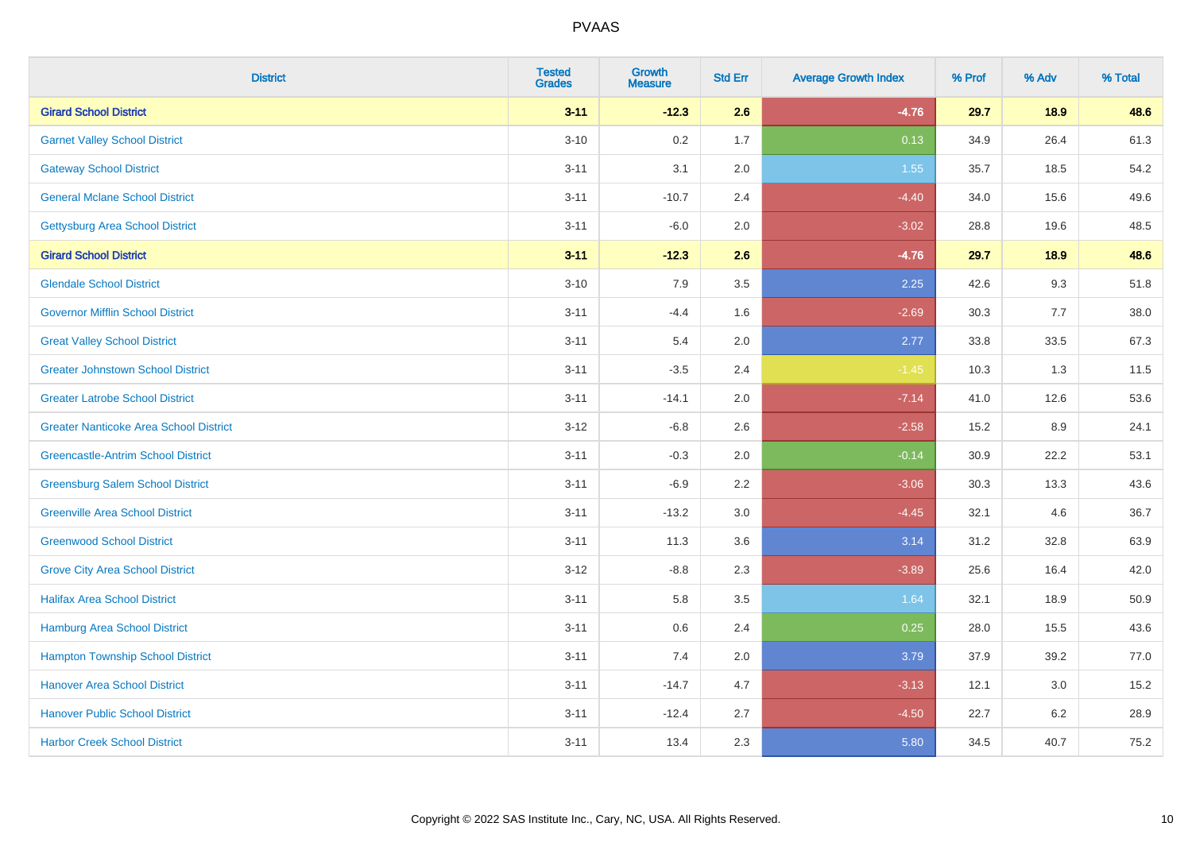| <b>District</b>                               | <b>Tested</b><br><b>Grades</b> | <b>Growth</b><br><b>Measure</b> | <b>Std Err</b> | <b>Average Growth Index</b> | % Prof | % Adv | % Total |
|-----------------------------------------------|--------------------------------|---------------------------------|----------------|-----------------------------|--------|-------|---------|
| <b>Girard School District</b>                 | $3 - 11$                       | $-12.3$                         | 2.6            | $-4.76$                     | 29.7   | 18.9  | 48.6    |
| <b>Garnet Valley School District</b>          | $3 - 10$                       | 0.2                             | 1.7            | 0.13                        | 34.9   | 26.4  | 61.3    |
| <b>Gateway School District</b>                | $3 - 11$                       | 3.1                             | 2.0            | 1.55                        | 35.7   | 18.5  | 54.2    |
| <b>General Mclane School District</b>         | $3 - 11$                       | $-10.7$                         | 2.4            | $-4.40$                     | 34.0   | 15.6  | 49.6    |
| <b>Gettysburg Area School District</b>        | $3 - 11$                       | $-6.0$                          | 2.0            | $-3.02$                     | 28.8   | 19.6  | 48.5    |
| <b>Girard School District</b>                 | $3 - 11$                       | $-12.3$                         | 2.6            | $-4.76$                     | 29.7   | 18.9  | 48.6    |
| <b>Glendale School District</b>               | $3 - 10$                       | 7.9                             | 3.5            | 2.25                        | 42.6   | 9.3   | 51.8    |
| <b>Governor Mifflin School District</b>       | $3 - 11$                       | $-4.4$                          | 1.6            | $-2.69$                     | 30.3   | 7.7   | 38.0    |
| <b>Great Valley School District</b>           | $3 - 11$                       | 5.4                             | 2.0            | 2.77                        | 33.8   | 33.5  | 67.3    |
| <b>Greater Johnstown School District</b>      | $3 - 11$                       | $-3.5$                          | 2.4            | $-1.45$                     | 10.3   | 1.3   | 11.5    |
| <b>Greater Latrobe School District</b>        | $3 - 11$                       | $-14.1$                         | 2.0            | $-7.14$                     | 41.0   | 12.6  | 53.6    |
| <b>Greater Nanticoke Area School District</b> | $3 - 12$                       | $-6.8$                          | 2.6            | $-2.58$                     | 15.2   | 8.9   | 24.1    |
| <b>Greencastle-Antrim School District</b>     | $3 - 11$                       | $-0.3$                          | 2.0            | $-0.14$                     | 30.9   | 22.2  | 53.1    |
| <b>Greensburg Salem School District</b>       | $3 - 11$                       | $-6.9$                          | 2.2            | $-3.06$                     | 30.3   | 13.3  | 43.6    |
| <b>Greenville Area School District</b>        | $3 - 11$                       | $-13.2$                         | 3.0            | $-4.45$                     | 32.1   | 4.6   | 36.7    |
| <b>Greenwood School District</b>              | $3 - 11$                       | 11.3                            | 3.6            | 3.14                        | 31.2   | 32.8  | 63.9    |
| <b>Grove City Area School District</b>        | $3-12$                         | $-8.8$                          | 2.3            | $-3.89$                     | 25.6   | 16.4  | 42.0    |
| <b>Halifax Area School District</b>           | $3 - 11$                       | 5.8                             | 3.5            | 1.64                        | 32.1   | 18.9  | 50.9    |
| <b>Hamburg Area School District</b>           | $3 - 11$                       | $0.6\,$                         | 2.4            | 0.25                        | 28.0   | 15.5  | 43.6    |
| <b>Hampton Township School District</b>       | $3 - 11$                       | 7.4                             | 2.0            | 3.79                        | 37.9   | 39.2  | 77.0    |
| <b>Hanover Area School District</b>           | $3 - 11$                       | $-14.7$                         | 4.7            | $-3.13$                     | 12.1   | 3.0   | 15.2    |
| <b>Hanover Public School District</b>         | $3 - 11$                       | $-12.4$                         | 2.7            | $-4.50$                     | 22.7   | 6.2   | 28.9    |
| <b>Harbor Creek School District</b>           | $3 - 11$                       | 13.4                            | 2.3            | 5.80                        | 34.5   | 40.7  | 75.2    |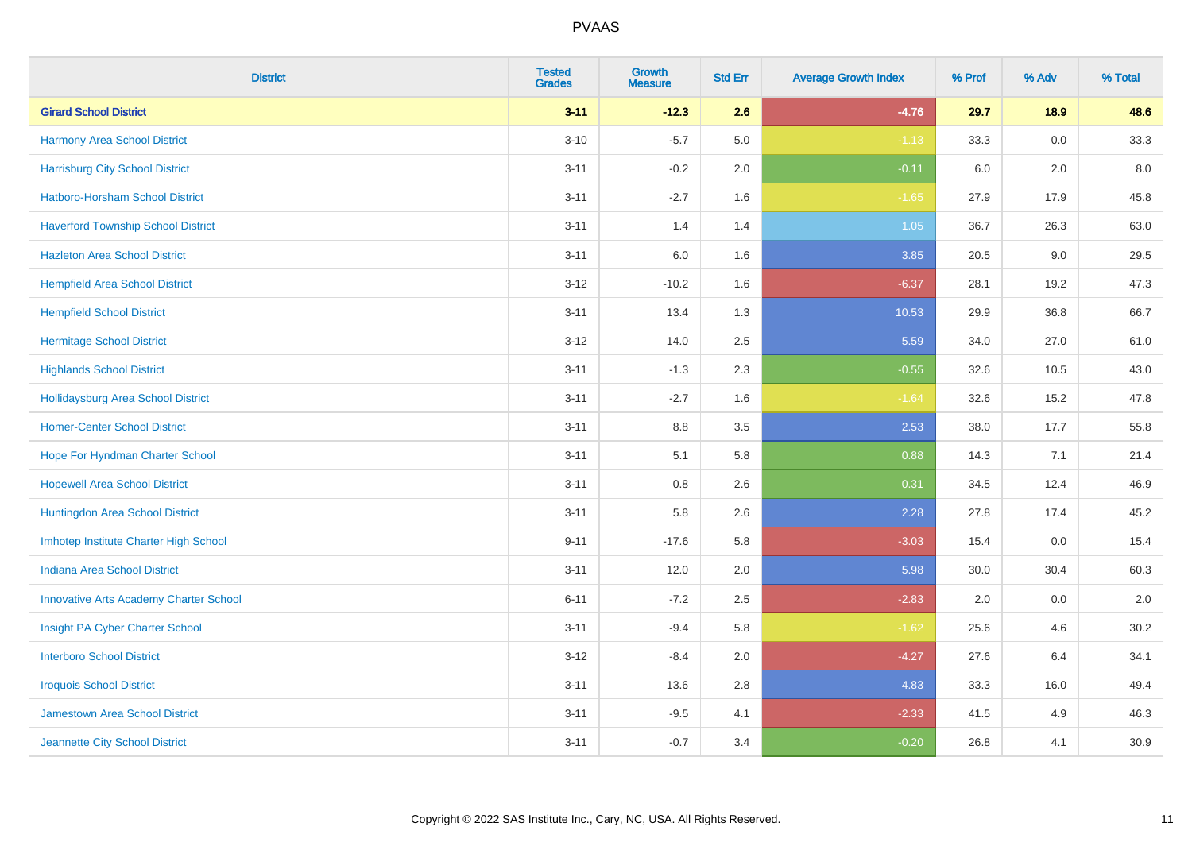| <b>District</b>                               | <b>Tested</b><br><b>Grades</b> | <b>Growth</b><br><b>Measure</b> | <b>Std Err</b> | <b>Average Growth Index</b> | % Prof | % Adv   | % Total |
|-----------------------------------------------|--------------------------------|---------------------------------|----------------|-----------------------------|--------|---------|---------|
| <b>Girard School District</b>                 | $3 - 11$                       | $-12.3$                         | 2.6            | $-4.76$                     | 29.7   | 18.9    | 48.6    |
| <b>Harmony Area School District</b>           | $3 - 10$                       | $-5.7$                          | 5.0            | $-1.13$                     | 33.3   | $0.0\,$ | 33.3    |
| <b>Harrisburg City School District</b>        | $3 - 11$                       | $-0.2$                          | 2.0            | $-0.11$                     | 6.0    | 2.0     | 8.0     |
| Hatboro-Horsham School District               | $3 - 11$                       | $-2.7$                          | 1.6            | $-1.65$                     | 27.9   | 17.9    | 45.8    |
| <b>Haverford Township School District</b>     | $3 - 11$                       | 1.4                             | 1.4            | 1.05                        | 36.7   | 26.3    | 63.0    |
| <b>Hazleton Area School District</b>          | $3 - 11$                       | 6.0                             | 1.6            | 3.85                        | 20.5   | 9.0     | 29.5    |
| <b>Hempfield Area School District</b>         | $3 - 12$                       | $-10.2$                         | 1.6            | $-6.37$                     | 28.1   | 19.2    | 47.3    |
| <b>Hempfield School District</b>              | $3 - 11$                       | 13.4                            | 1.3            | 10.53                       | 29.9   | 36.8    | 66.7    |
| <b>Hermitage School District</b>              | $3 - 12$                       | 14.0                            | 2.5            | 5.59                        | 34.0   | 27.0    | 61.0    |
| <b>Highlands School District</b>              | $3 - 11$                       | $-1.3$                          | 2.3            | $-0.55$                     | 32.6   | 10.5    | 43.0    |
| <b>Hollidaysburg Area School District</b>     | $3 - 11$                       | $-2.7$                          | 1.6            | $-1.64$                     | 32.6   | 15.2    | 47.8    |
| <b>Homer-Center School District</b>           | $3 - 11$                       | $8.8\,$                         | 3.5            | 2.53                        | 38.0   | 17.7    | 55.8    |
| Hope For Hyndman Charter School               | $3 - 11$                       | 5.1                             | 5.8            | 0.88                        | 14.3   | 7.1     | 21.4    |
| <b>Hopewell Area School District</b>          | $3 - 11$                       | 0.8                             | 2.6            | 0.31                        | 34.5   | 12.4    | 46.9    |
| Huntingdon Area School District               | $3 - 11$                       | 5.8                             | 2.6            | 2.28                        | 27.8   | 17.4    | 45.2    |
| Imhotep Institute Charter High School         | $9 - 11$                       | $-17.6$                         | 5.8            | $-3.03$                     | 15.4   | 0.0     | 15.4    |
| <b>Indiana Area School District</b>           | $3 - 11$                       | 12.0                            | 2.0            | 5.98                        | 30.0   | 30.4    | 60.3    |
| <b>Innovative Arts Academy Charter School</b> | $6 - 11$                       | $-7.2$                          | 2.5            | $-2.83$                     | 2.0    | 0.0     | $2.0\,$ |
| Insight PA Cyber Charter School               | $3 - 11$                       | $-9.4$                          | 5.8            | $-1.62$                     | 25.6   | 4.6     | 30.2    |
| <b>Interboro School District</b>              | $3 - 12$                       | $-8.4$                          | 2.0            | $-4.27$                     | 27.6   | 6.4     | 34.1    |
| <b>Iroquois School District</b>               | $3 - 11$                       | 13.6                            | 2.8            | 4.83                        | 33.3   | 16.0    | 49.4    |
| <b>Jamestown Area School District</b>         | $3 - 11$                       | $-9.5$                          | 4.1            | $-2.33$                     | 41.5   | 4.9     | 46.3    |
| Jeannette City School District                | $3 - 11$                       | $-0.7$                          | 3.4            | $-0.20$                     | 26.8   | 4.1     | 30.9    |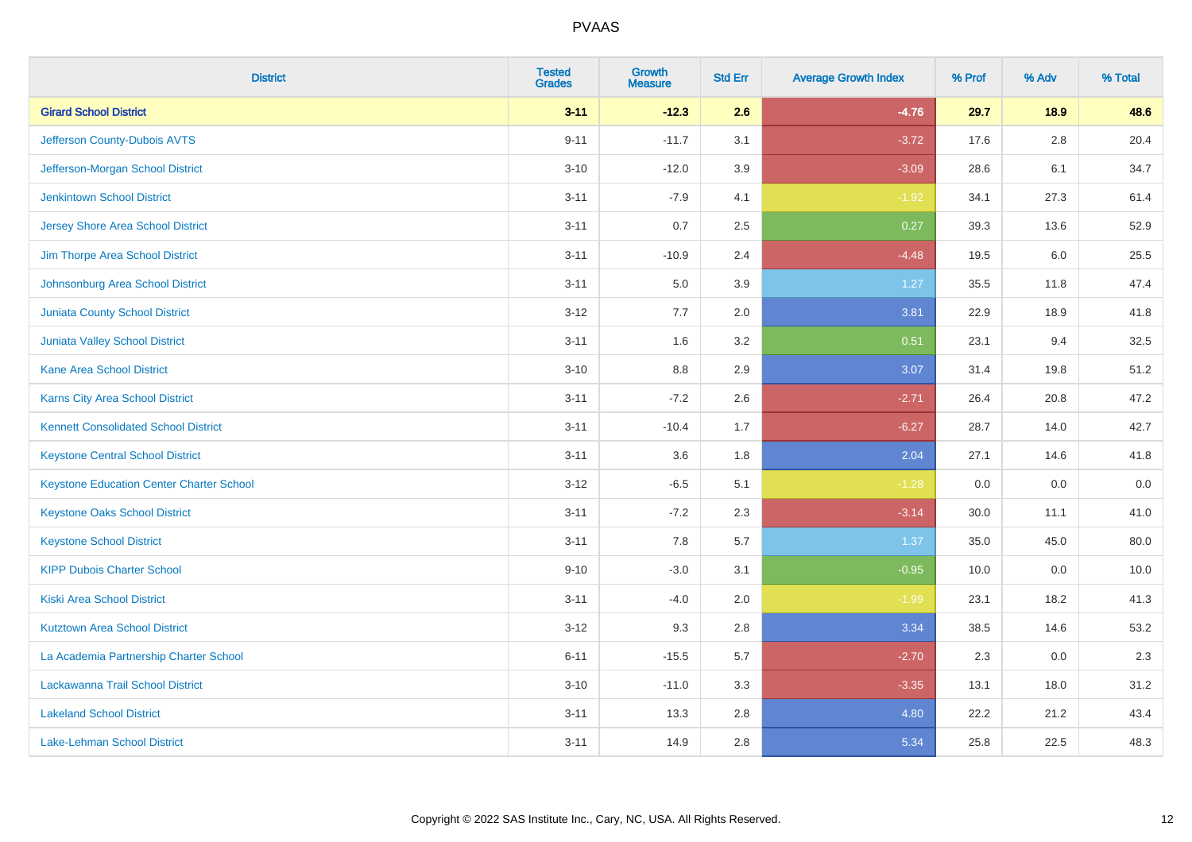| <b>District</b>                                 | <b>Tested</b><br><b>Grades</b> | <b>Growth</b><br><b>Measure</b> | <b>Std Err</b> | <b>Average Growth Index</b> | % Prof | % Adv   | % Total |
|-------------------------------------------------|--------------------------------|---------------------------------|----------------|-----------------------------|--------|---------|---------|
| <b>Girard School District</b>                   | $3 - 11$                       | $-12.3$                         | 2.6            | $-4.76$                     | 29.7   | 18.9    | 48.6    |
| Jefferson County-Dubois AVTS                    | $9 - 11$                       | $-11.7$                         | 3.1            | $-3.72$                     | 17.6   | $2.8\,$ | 20.4    |
| Jefferson-Morgan School District                | $3 - 10$                       | $-12.0$                         | 3.9            | $-3.09$                     | 28.6   | 6.1     | 34.7    |
| <b>Jenkintown School District</b>               | $3 - 11$                       | $-7.9$                          | 4.1            | $-1.92$                     | 34.1   | 27.3    | 61.4    |
| <b>Jersey Shore Area School District</b>        | $3 - 11$                       | 0.7                             | 2.5            | 0.27                        | 39.3   | 13.6    | 52.9    |
| Jim Thorpe Area School District                 | $3 - 11$                       | $-10.9$                         | 2.4            | $-4.48$                     | 19.5   | 6.0     | 25.5    |
| Johnsonburg Area School District                | $3 - 11$                       | 5.0                             | 3.9            | 1.27                        | 35.5   | 11.8    | 47.4    |
| <b>Juniata County School District</b>           | $3 - 12$                       | 7.7                             | 2.0            | 3.81                        | 22.9   | 18.9    | 41.8    |
| <b>Juniata Valley School District</b>           | $3 - 11$                       | 1.6                             | 3.2            | 0.51                        | 23.1   | 9.4     | 32.5    |
| <b>Kane Area School District</b>                | $3 - 10$                       | 8.8                             | 2.9            | 3.07                        | 31.4   | 19.8    | 51.2    |
| Karns City Area School District                 | $3 - 11$                       | $-7.2$                          | 2.6            | $-2.71$                     | 26.4   | 20.8    | 47.2    |
| <b>Kennett Consolidated School District</b>     | $3 - 11$                       | $-10.4$                         | 1.7            | $-6.27$                     | 28.7   | 14.0    | 42.7    |
| <b>Keystone Central School District</b>         | $3 - 11$                       | 3.6                             | 1.8            | 2.04                        | 27.1   | 14.6    | 41.8    |
| <b>Keystone Education Center Charter School</b> | $3 - 12$                       | $-6.5$                          | 5.1            | $-1.28$                     | 0.0    | 0.0     | 0.0     |
| <b>Keystone Oaks School District</b>            | $3 - 11$                       | $-7.2$                          | 2.3            | $-3.14$                     | 30.0   | 11.1    | 41.0    |
| <b>Keystone School District</b>                 | $3 - 11$                       | 7.8                             | 5.7            | 1.37                        | 35.0   | 45.0    | 80.0    |
| <b>KIPP Dubois Charter School</b>               | $9 - 10$                       | $-3.0$                          | 3.1            | $-0.95$                     | 10.0   | 0.0     | 10.0    |
| <b>Kiski Area School District</b>               | $3 - 11$                       | $-4.0$                          | 2.0            | $-1.99$                     | 23.1   | 18.2    | 41.3    |
| <b>Kutztown Area School District</b>            | $3 - 12$                       | 9.3                             | 2.8            | 3.34                        | 38.5   | 14.6    | 53.2    |
| La Academia Partnership Charter School          | $6 - 11$                       | $-15.5$                         | 5.7            | $-2.70$                     | 2.3    | 0.0     | 2.3     |
| Lackawanna Trail School District                | $3 - 10$                       | $-11.0$                         | 3.3            | $-3.35$                     | 13.1   | 18.0    | 31.2    |
| <b>Lakeland School District</b>                 | $3 - 11$                       | 13.3                            | 2.8            | 4.80                        | 22.2   | 21.2    | 43.4    |
| Lake-Lehman School District                     | $3 - 11$                       | 14.9                            | 2.8            | 5.34                        | 25.8   | 22.5    | 48.3    |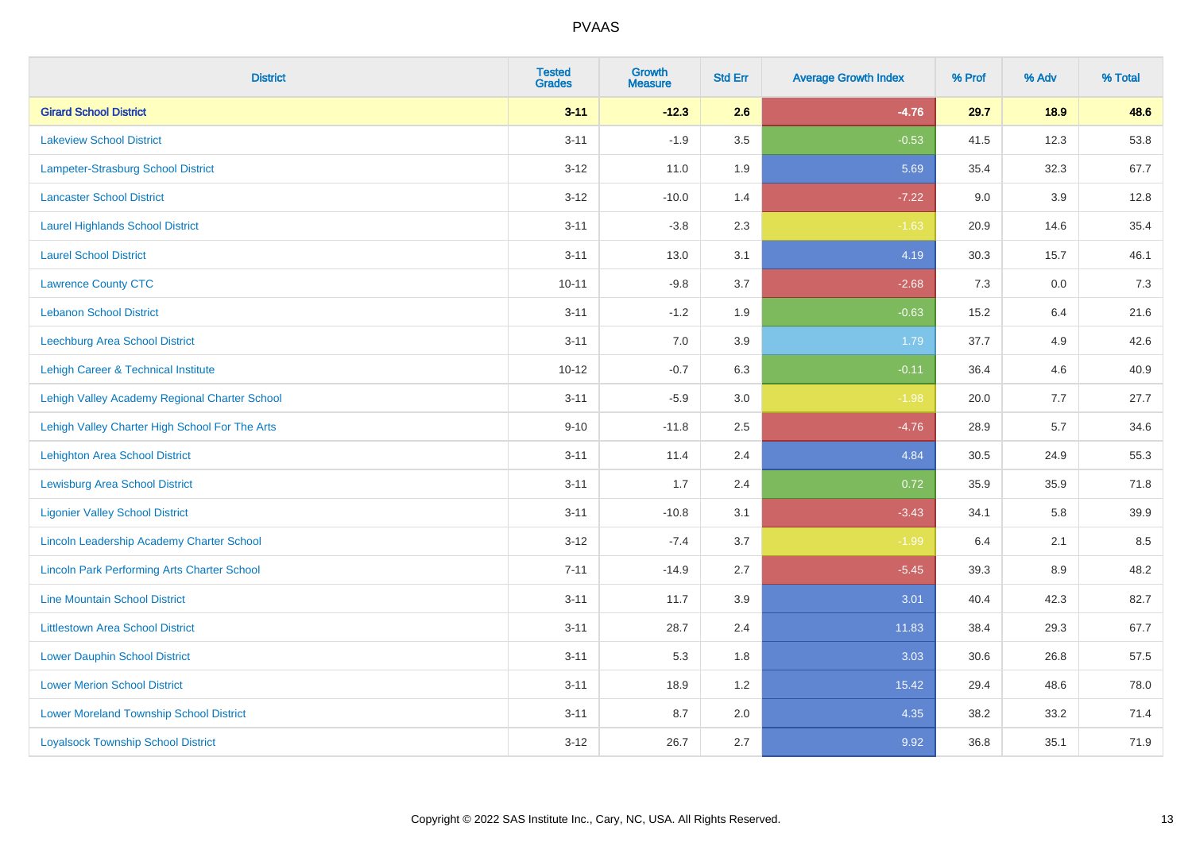| <b>District</b>                                    | <b>Tested</b><br><b>Grades</b> | <b>Growth</b><br><b>Measure</b> | <b>Std Err</b> | <b>Average Growth Index</b> | % Prof | % Adv   | % Total |
|----------------------------------------------------|--------------------------------|---------------------------------|----------------|-----------------------------|--------|---------|---------|
| <b>Girard School District</b>                      | $3 - 11$                       | $-12.3$                         | 2.6            | $-4.76$                     | 29.7   | 18.9    | 48.6    |
| <b>Lakeview School District</b>                    | $3 - 11$                       | $-1.9$                          | 3.5            | $-0.53$                     | 41.5   | 12.3    | 53.8    |
| Lampeter-Strasburg School District                 | $3 - 12$                       | 11.0                            | 1.9            | 5.69                        | 35.4   | 32.3    | 67.7    |
| <b>Lancaster School District</b>                   | $3 - 12$                       | $-10.0$                         | 1.4            | $-7.22$                     | 9.0    | 3.9     | 12.8    |
| <b>Laurel Highlands School District</b>            | $3 - 11$                       | $-3.8$                          | 2.3            | $-1.63$                     | 20.9   | 14.6    | 35.4    |
| <b>Laurel School District</b>                      | $3 - 11$                       | 13.0                            | 3.1            | 4.19                        | 30.3   | 15.7    | 46.1    |
| <b>Lawrence County CTC</b>                         | $10 - 11$                      | $-9.8$                          | 3.7            | $-2.68$                     | 7.3    | 0.0     | $7.3$   |
| <b>Lebanon School District</b>                     | $3 - 11$                       | $-1.2$                          | 1.9            | $-0.63$                     | 15.2   | 6.4     | 21.6    |
| Leechburg Area School District                     | $3 - 11$                       | 7.0                             | 3.9            | 1.79                        | 37.7   | 4.9     | 42.6    |
| Lehigh Career & Technical Institute                | $10 - 12$                      | $-0.7$                          | 6.3            | $-0.11$                     | 36.4   | 4.6     | 40.9    |
| Lehigh Valley Academy Regional Charter School      | $3 - 11$                       | $-5.9$                          | 3.0            | $-1.98$                     | 20.0   | 7.7     | 27.7    |
| Lehigh Valley Charter High School For The Arts     | $9 - 10$                       | $-11.8$                         | 2.5            | $-4.76$                     | 28.9   | 5.7     | 34.6    |
| <b>Lehighton Area School District</b>              | $3 - 11$                       | 11.4                            | 2.4            | 4.84                        | 30.5   | 24.9    | 55.3    |
| <b>Lewisburg Area School District</b>              | $3 - 11$                       | 1.7                             | 2.4            | 0.72                        | 35.9   | 35.9    | 71.8    |
| <b>Ligonier Valley School District</b>             | $3 - 11$                       | $-10.8$                         | 3.1            | $-3.43$                     | 34.1   | 5.8     | 39.9    |
| Lincoln Leadership Academy Charter School          | $3 - 12$                       | $-7.4$                          | 3.7            | $-1.99$                     | 6.4    | 2.1     | 8.5     |
| <b>Lincoln Park Performing Arts Charter School</b> | $7 - 11$                       | $-14.9$                         | 2.7            | $-5.45$                     | 39.3   | $8.9\,$ | 48.2    |
| <b>Line Mountain School District</b>               | $3 - 11$                       | 11.7                            | 3.9            | 3.01                        | 40.4   | 42.3    | 82.7    |
| <b>Littlestown Area School District</b>            | $3 - 11$                       | 28.7                            | 2.4            | 11.83                       | 38.4   | 29.3    | 67.7    |
| <b>Lower Dauphin School District</b>               | $3 - 11$                       | 5.3                             | 1.8            | 3.03                        | 30.6   | 26.8    | 57.5    |
| <b>Lower Merion School District</b>                | $3 - 11$                       | 18.9                            | 1.2            | 15.42                       | 29.4   | 48.6    | 78.0    |
| <b>Lower Moreland Township School District</b>     | $3 - 11$                       | 8.7                             | 2.0            | 4.35                        | 38.2   | 33.2    | 71.4    |
| <b>Loyalsock Township School District</b>          | $3 - 12$                       | 26.7                            | 2.7            | 9.92                        | 36.8   | 35.1    | 71.9    |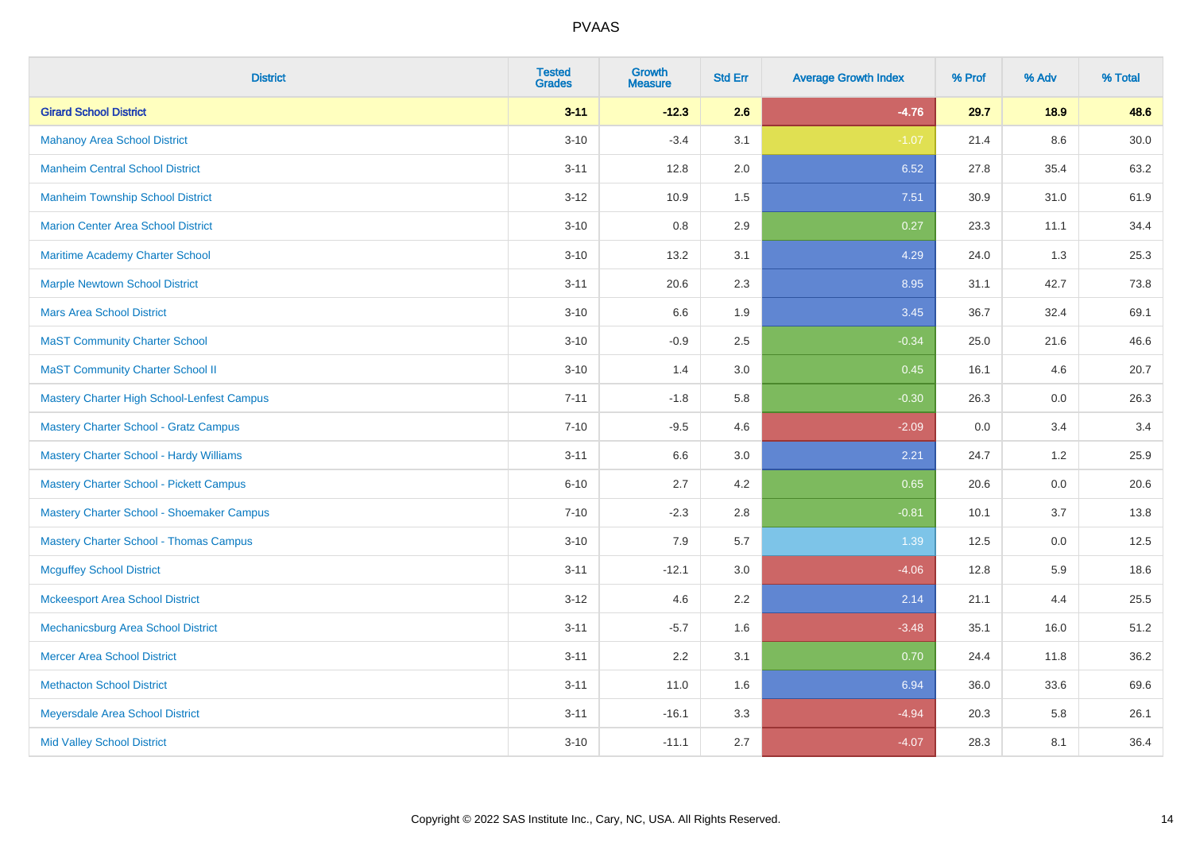| <b>District</b>                               | <b>Tested</b><br><b>Grades</b> | <b>Growth</b><br><b>Measure</b> | <b>Std Err</b> | <b>Average Growth Index</b> | % Prof | % Adv   | % Total |
|-----------------------------------------------|--------------------------------|---------------------------------|----------------|-----------------------------|--------|---------|---------|
| <b>Girard School District</b>                 | $3 - 11$                       | $-12.3$                         | 2.6            | $-4.76$                     | 29.7   | 18.9    | 48.6    |
| <b>Mahanoy Area School District</b>           | $3 - 10$                       | $-3.4$                          | 3.1            | $-1.07$                     | 21.4   | $8.6\,$ | 30.0    |
| <b>Manheim Central School District</b>        | $3 - 11$                       | 12.8                            | 2.0            | 6.52                        | 27.8   | 35.4    | 63.2    |
| <b>Manheim Township School District</b>       | $3 - 12$                       | 10.9                            | 1.5            | 7.51                        | 30.9   | 31.0    | 61.9    |
| <b>Marion Center Area School District</b>     | $3 - 10$                       | 0.8                             | 2.9            | 0.27                        | 23.3   | 11.1    | 34.4    |
| Maritime Academy Charter School               | $3 - 10$                       | 13.2                            | 3.1            | 4.29                        | 24.0   | 1.3     | 25.3    |
| <b>Marple Newtown School District</b>         | $3 - 11$                       | 20.6                            | 2.3            | 8.95                        | 31.1   | 42.7    | 73.8    |
| <b>Mars Area School District</b>              | $3 - 10$                       | 6.6                             | 1.9            | 3.45                        | 36.7   | 32.4    | 69.1    |
| <b>MaST Community Charter School</b>          | $3 - 10$                       | $-0.9$                          | 2.5            | $-0.34$                     | 25.0   | 21.6    | 46.6    |
| <b>MaST Community Charter School II</b>       | $3 - 10$                       | 1.4                             | 3.0            | 0.45                        | 16.1   | 4.6     | 20.7    |
| Mastery Charter High School-Lenfest Campus    | $7 - 11$                       | $-1.8$                          | 5.8            | $-0.30$                     | 26.3   | 0.0     | 26.3    |
| <b>Mastery Charter School - Gratz Campus</b>  | $7 - 10$                       | $-9.5$                          | 4.6            | $-2.09$                     | 0.0    | 3.4     | 3.4     |
| Mastery Charter School - Hardy Williams       | $3 - 11$                       | 6.6                             | 3.0            | 2.21                        | 24.7   | 1.2     | 25.9    |
| Mastery Charter School - Pickett Campus       | $6 - 10$                       | 2.7                             | 4.2            | 0.65                        | 20.6   | 0.0     | 20.6    |
| Mastery Charter School - Shoemaker Campus     | $7 - 10$                       | $-2.3$                          | 2.8            | $-0.81$                     | 10.1   | 3.7     | 13.8    |
| <b>Mastery Charter School - Thomas Campus</b> | $3 - 10$                       | 7.9                             | 5.7            | 1.39                        | 12.5   | $0.0\,$ | 12.5    |
| <b>Mcguffey School District</b>               | $3 - 11$                       | $-12.1$                         | 3.0            | $-4.06$                     | 12.8   | 5.9     | 18.6    |
| <b>Mckeesport Area School District</b>        | $3 - 12$                       | 4.6                             | 2.2            | 2.14                        | 21.1   | 4.4     | 25.5    |
| Mechanicsburg Area School District            | $3 - 11$                       | $-5.7$                          | 1.6            | $-3.48$                     | 35.1   | 16.0    | 51.2    |
| <b>Mercer Area School District</b>            | $3 - 11$                       | 2.2                             | 3.1            | 0.70                        | 24.4   | 11.8    | 36.2    |
| <b>Methacton School District</b>              | $3 - 11$                       | 11.0                            | 1.6            | 6.94                        | 36.0   | 33.6    | 69.6    |
| Meyersdale Area School District               | $3 - 11$                       | $-16.1$                         | 3.3            | $-4.94$                     | 20.3   | 5.8     | 26.1    |
| <b>Mid Valley School District</b>             | $3 - 10$                       | $-11.1$                         | 2.7            | $-4.07$                     | 28.3   | 8.1     | 36.4    |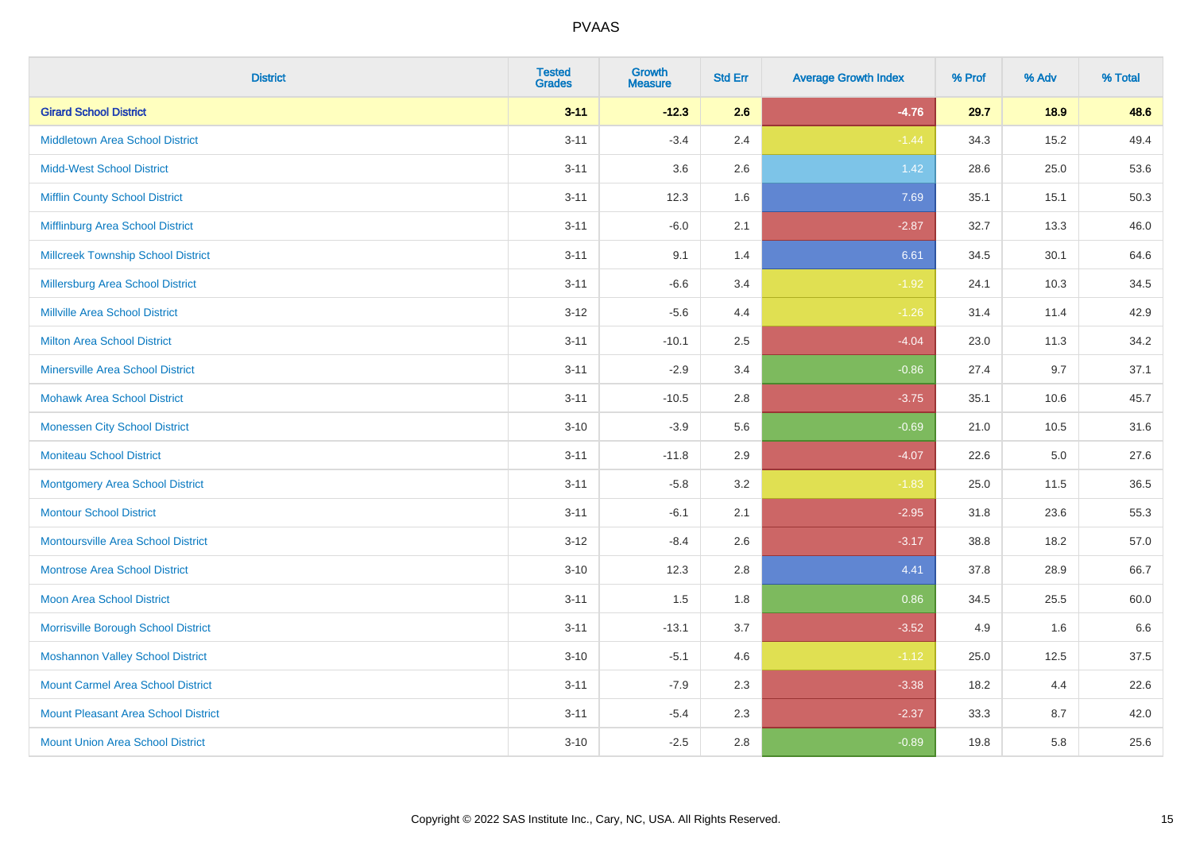| <b>District</b>                            | <b>Tested</b><br><b>Grades</b> | <b>Growth</b><br><b>Measure</b> | <b>Std Err</b> | <b>Average Growth Index</b> | % Prof | % Adv | % Total |
|--------------------------------------------|--------------------------------|---------------------------------|----------------|-----------------------------|--------|-------|---------|
| <b>Girard School District</b>              | $3 - 11$                       | $-12.3$                         | 2.6            | $-4.76$                     | 29.7   | 18.9  | 48.6    |
| <b>Middletown Area School District</b>     | $3 - 11$                       | $-3.4$                          | 2.4            | $-1.44$                     | 34.3   | 15.2  | 49.4    |
| <b>Midd-West School District</b>           | $3 - 11$                       | 3.6                             | 2.6            | 1.42                        | 28.6   | 25.0  | 53.6    |
| <b>Mifflin County School District</b>      | $3 - 11$                       | 12.3                            | 1.6            | 7.69                        | 35.1   | 15.1  | 50.3    |
| Mifflinburg Area School District           | $3 - 11$                       | $-6.0$                          | 2.1            | $-2.87$                     | 32.7   | 13.3  | 46.0    |
| <b>Millcreek Township School District</b>  | $3 - 11$                       | 9.1                             | 1.4            | 6.61                        | 34.5   | 30.1  | 64.6    |
| Millersburg Area School District           | $3 - 11$                       | $-6.6$                          | 3.4            | $-1.92$                     | 24.1   | 10.3  | 34.5    |
| <b>Millville Area School District</b>      | $3 - 12$                       | $-5.6$                          | 4.4            | $-1.26$                     | 31.4   | 11.4  | 42.9    |
| <b>Milton Area School District</b>         | $3 - 11$                       | $-10.1$                         | 2.5            | $-4.04$                     | 23.0   | 11.3  | 34.2    |
| <b>Minersville Area School District</b>    | $3 - 11$                       | $-2.9$                          | 3.4            | $-0.86$                     | 27.4   | 9.7   | 37.1    |
| <b>Mohawk Area School District</b>         | $3 - 11$                       | $-10.5$                         | 2.8            | $-3.75$                     | 35.1   | 10.6  | 45.7    |
| <b>Monessen City School District</b>       | $3 - 10$                       | $-3.9$                          | 5.6            | $-0.69$                     | 21.0   | 10.5  | 31.6    |
| <b>Moniteau School District</b>            | $3 - 11$                       | $-11.8$                         | 2.9            | $-4.07$                     | 22.6   | 5.0   | 27.6    |
| <b>Montgomery Area School District</b>     | $3 - 11$                       | $-5.8$                          | 3.2            | $-1.83$                     | 25.0   | 11.5  | 36.5    |
| <b>Montour School District</b>             | $3 - 11$                       | $-6.1$                          | 2.1            | $-2.95$                     | 31.8   | 23.6  | 55.3    |
| <b>Montoursville Area School District</b>  | $3 - 12$                       | $-8.4$                          | 2.6            | $-3.17$                     | 38.8   | 18.2  | 57.0    |
| <b>Montrose Area School District</b>       | $3 - 10$                       | 12.3                            | 2.8            | 4.41                        | 37.8   | 28.9  | 66.7    |
| <b>Moon Area School District</b>           | $3 - 11$                       | 1.5                             | 1.8            | 0.86                        | 34.5   | 25.5  | 60.0    |
| Morrisville Borough School District        | $3 - 11$                       | $-13.1$                         | 3.7            | $-3.52$                     | 4.9    | 1.6   | 6.6     |
| <b>Moshannon Valley School District</b>    | $3 - 10$                       | $-5.1$                          | 4.6            | $-1.12$                     | 25.0   | 12.5  | 37.5    |
| <b>Mount Carmel Area School District</b>   | $3 - 11$                       | $-7.9$                          | 2.3            | $-3.38$                     | 18.2   | 4.4   | 22.6    |
| <b>Mount Pleasant Area School District</b> | $3 - 11$                       | $-5.4$                          | 2.3            | $-2.37$                     | 33.3   | 8.7   | 42.0    |
| <b>Mount Union Area School District</b>    | $3 - 10$                       | $-2.5$                          | 2.8            | $-0.89$                     | 19.8   | 5.8   | 25.6    |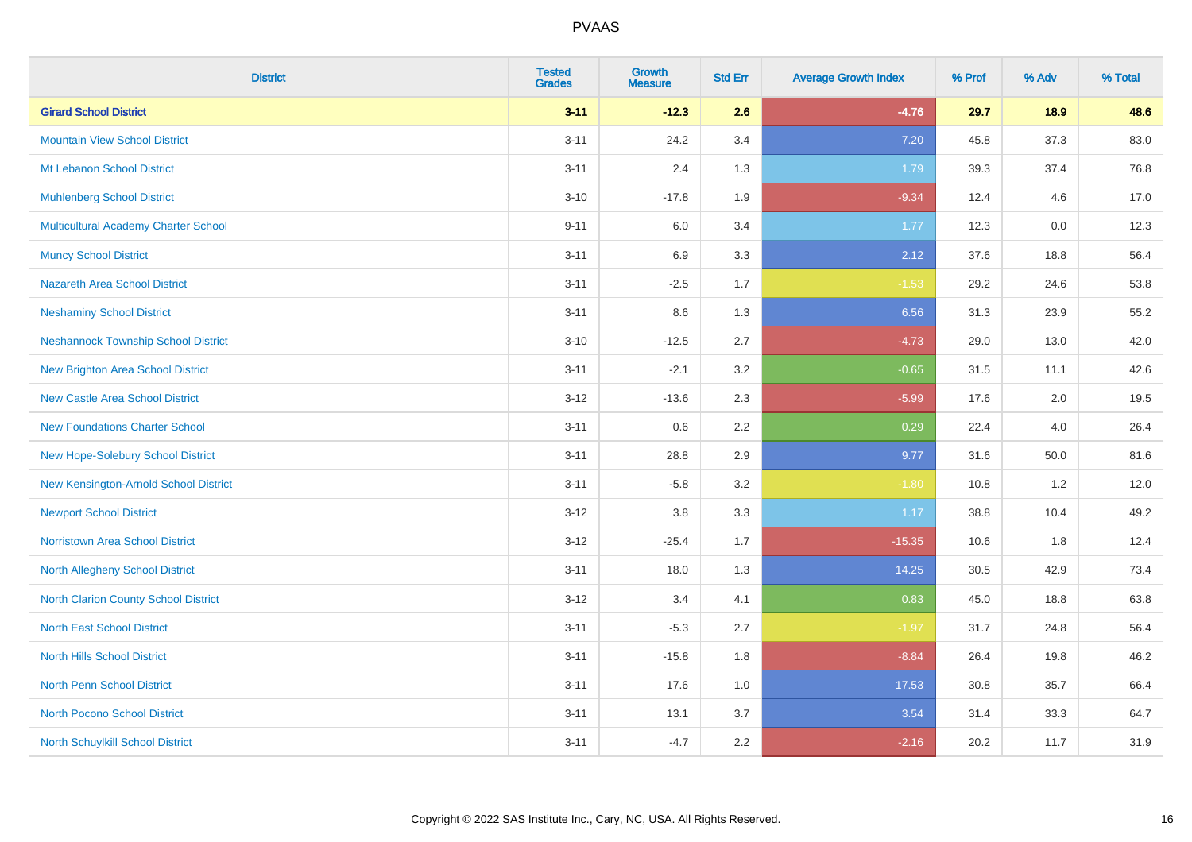| <b>District</b>                             | <b>Tested</b><br><b>Grades</b> | <b>Growth</b><br><b>Measure</b> | <b>Std Err</b> | <b>Average Growth Index</b> | % Prof | % Adv | % Total |
|---------------------------------------------|--------------------------------|---------------------------------|----------------|-----------------------------|--------|-------|---------|
| <b>Girard School District</b>               | $3 - 11$                       | $-12.3$                         | 2.6            | $-4.76$                     | 29.7   | 18.9  | 48.6    |
| <b>Mountain View School District</b>        | $3 - 11$                       | 24.2                            | 3.4            | 7.20                        | 45.8   | 37.3  | 83.0    |
| Mt Lebanon School District                  | $3 - 11$                       | 2.4                             | 1.3            | 1.79                        | 39.3   | 37.4  | 76.8    |
| <b>Muhlenberg School District</b>           | $3 - 10$                       | $-17.8$                         | 1.9            | $-9.34$                     | 12.4   | 4.6   | 17.0    |
| <b>Multicultural Academy Charter School</b> | $9 - 11$                       | 6.0                             | 3.4            | 1.77                        | 12.3   | 0.0   | 12.3    |
| <b>Muncy School District</b>                | $3 - 11$                       | 6.9                             | 3.3            | 2.12                        | 37.6   | 18.8  | 56.4    |
| Nazareth Area School District               | $3 - 11$                       | $-2.5$                          | 1.7            | $-1.53$                     | 29.2   | 24.6  | 53.8    |
| <b>Neshaminy School District</b>            | $3 - 11$                       | $8.6\,$                         | 1.3            | 6.56                        | 31.3   | 23.9  | 55.2    |
| <b>Neshannock Township School District</b>  | $3 - 10$                       | $-12.5$                         | 2.7            | $-4.73$                     | 29.0   | 13.0  | 42.0    |
| <b>New Brighton Area School District</b>    | $3 - 11$                       | $-2.1$                          | 3.2            | $-0.65$                     | 31.5   | 11.1  | 42.6    |
| <b>New Castle Area School District</b>      | $3 - 12$                       | $-13.6$                         | 2.3            | $-5.99$                     | 17.6   | 2.0   | 19.5    |
| <b>New Foundations Charter School</b>       | $3 - 11$                       | 0.6                             | 2.2            | 0.29                        | 22.4   | 4.0   | 26.4    |
| New Hope-Solebury School District           | $3 - 11$                       | 28.8                            | 2.9            | 9.77                        | 31.6   | 50.0  | 81.6    |
| New Kensington-Arnold School District       | $3 - 11$                       | $-5.8$                          | 3.2            | $-1.80$                     | 10.8   | 1.2   | 12.0    |
| <b>Newport School District</b>              | $3 - 12$                       | $3.8\,$                         | 3.3            | 1.17                        | 38.8   | 10.4  | 49.2    |
| <b>Norristown Area School District</b>      | $3 - 12$                       | $-25.4$                         | 1.7            | $-15.35$                    | 10.6   | 1.8   | 12.4    |
| <b>North Allegheny School District</b>      | $3 - 11$                       | 18.0                            | 1.3            | 14.25                       | 30.5   | 42.9  | 73.4    |
| <b>North Clarion County School District</b> | $3 - 12$                       | 3.4                             | 4.1            | 0.83                        | 45.0   | 18.8  | 63.8    |
| <b>North East School District</b>           | $3 - 11$                       | $-5.3$                          | 2.7            | $-1.97$                     | 31.7   | 24.8  | 56.4    |
| <b>North Hills School District</b>          | $3 - 11$                       | $-15.8$                         | 1.8            | $-8.84$                     | 26.4   | 19.8  | 46.2    |
| <b>North Penn School District</b>           | $3 - 11$                       | 17.6                            | 1.0            | 17.53                       | 30.8   | 35.7  | 66.4    |
| <b>North Pocono School District</b>         | $3 - 11$                       | 13.1                            | 3.7            | 3.54                        | 31.4   | 33.3  | 64.7    |
| North Schuylkill School District            | $3 - 11$                       | $-4.7$                          | 2.2            | $-2.16$                     | 20.2   | 11.7  | 31.9    |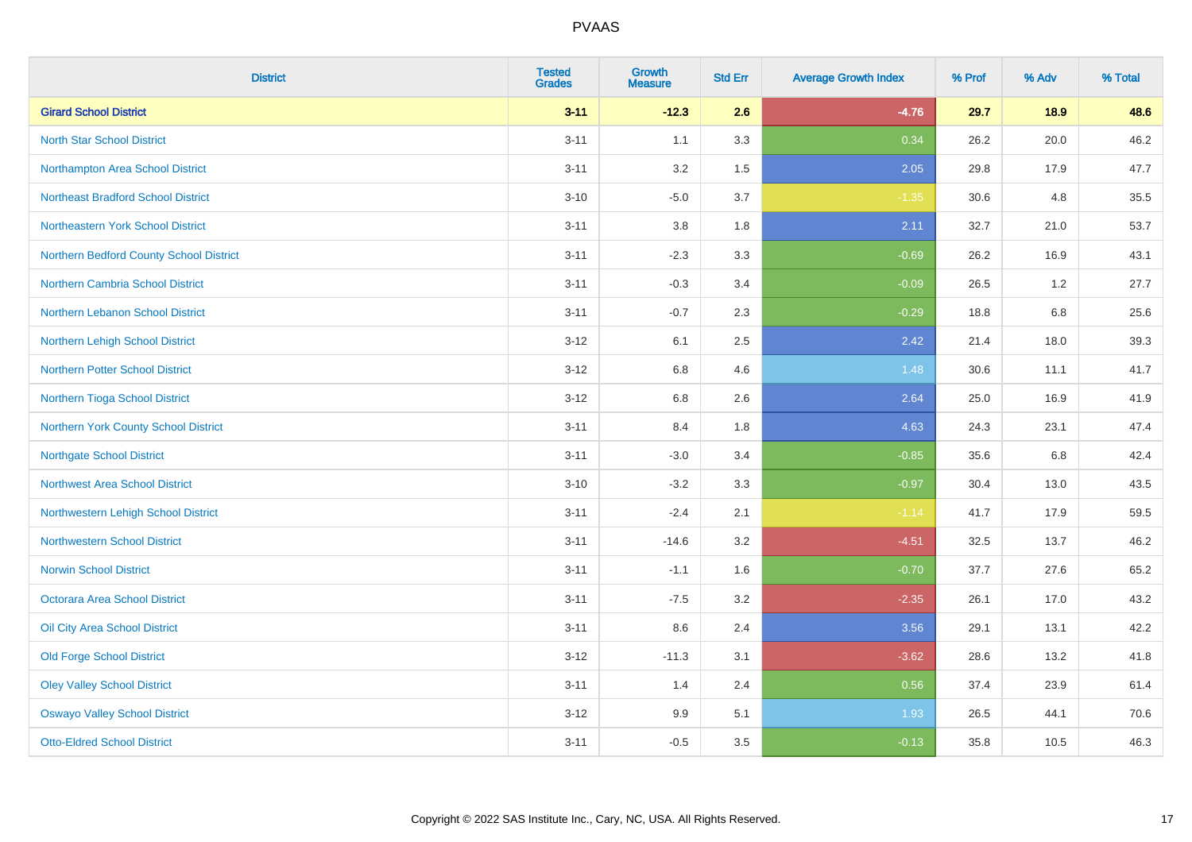| <b>District</b>                           | <b>Tested</b><br><b>Grades</b> | <b>Growth</b><br><b>Measure</b> | <b>Std Err</b> | <b>Average Growth Index</b> | % Prof | % Adv | % Total |
|-------------------------------------------|--------------------------------|---------------------------------|----------------|-----------------------------|--------|-------|---------|
| <b>Girard School District</b>             | $3 - 11$                       | $-12.3$                         | 2.6            | $-4.76$                     | 29.7   | 18.9  | 48.6    |
| <b>North Star School District</b>         | $3 - 11$                       | 1.1                             | 3.3            | 0.34                        | 26.2   | 20.0  | 46.2    |
| Northampton Area School District          | $3 - 11$                       | 3.2                             | 1.5            | 2.05                        | 29.8   | 17.9  | 47.7    |
| <b>Northeast Bradford School District</b> | $3 - 10$                       | $-5.0$                          | 3.7            | $-1.35$                     | 30.6   | 4.8   | 35.5    |
| Northeastern York School District         | $3 - 11$                       | 3.8                             | 1.8            | 2.11                        | 32.7   | 21.0  | 53.7    |
| Northern Bedford County School District   | $3 - 11$                       | $-2.3$                          | 3.3            | $-0.69$                     | 26.2   | 16.9  | 43.1    |
| Northern Cambria School District          | $3 - 11$                       | $-0.3$                          | 3.4            | $-0.09$                     | 26.5   | 1.2   | 27.7    |
| <b>Northern Lebanon School District</b>   | $3 - 11$                       | $-0.7$                          | 2.3            | $-0.29$                     | 18.8   | 6.8   | 25.6    |
| Northern Lehigh School District           | $3 - 12$                       | 6.1                             | 2.5            | 2.42                        | 21.4   | 18.0  | 39.3    |
| <b>Northern Potter School District</b>    | $3 - 12$                       | 6.8                             | 4.6            | 1.48                        | 30.6   | 11.1  | 41.7    |
| Northern Tioga School District            | $3 - 12$                       | $6.8\,$                         | 2.6            | 2.64                        | 25.0   | 16.9  | 41.9    |
| Northern York County School District      | $3 - 11$                       | 8.4                             | 1.8            | 4.63                        | 24.3   | 23.1  | 47.4    |
| <b>Northgate School District</b>          | $3 - 11$                       | $-3.0$                          | 3.4            | $-0.85$                     | 35.6   | 6.8   | 42.4    |
| Northwest Area School District            | $3 - 10$                       | $-3.2$                          | 3.3            | $-0.97$                     | 30.4   | 13.0  | 43.5    |
| Northwestern Lehigh School District       | $3 - 11$                       | $-2.4$                          | 2.1            | $-1.14$                     | 41.7   | 17.9  | 59.5    |
| <b>Northwestern School District</b>       | $3 - 11$                       | $-14.6$                         | 3.2            | $-4.51$                     | 32.5   | 13.7  | 46.2    |
| <b>Norwin School District</b>             | $3 - 11$                       | $-1.1$                          | 1.6            | $-0.70$                     | 37.7   | 27.6  | 65.2    |
| <b>Octorara Area School District</b>      | $3 - 11$                       | $-7.5$                          | 3.2            | $-2.35$                     | 26.1   | 17.0  | 43.2    |
| Oil City Area School District             | $3 - 11$                       | 8.6                             | 2.4            | 3.56                        | 29.1   | 13.1  | 42.2    |
| <b>Old Forge School District</b>          | $3 - 12$                       | $-11.3$                         | 3.1            | $-3.62$                     | 28.6   | 13.2  | 41.8    |
| <b>Oley Valley School District</b>        | $3 - 11$                       | 1.4                             | 2.4            | 0.56                        | 37.4   | 23.9  | 61.4    |
| <b>Oswayo Valley School District</b>      | $3 - 12$                       | 9.9                             | 5.1            | 1.93                        | 26.5   | 44.1  | 70.6    |
| <b>Otto-Eldred School District</b>        | $3 - 11$                       | $-0.5$                          | 3.5            | $-0.13$                     | 35.8   | 10.5  | 46.3    |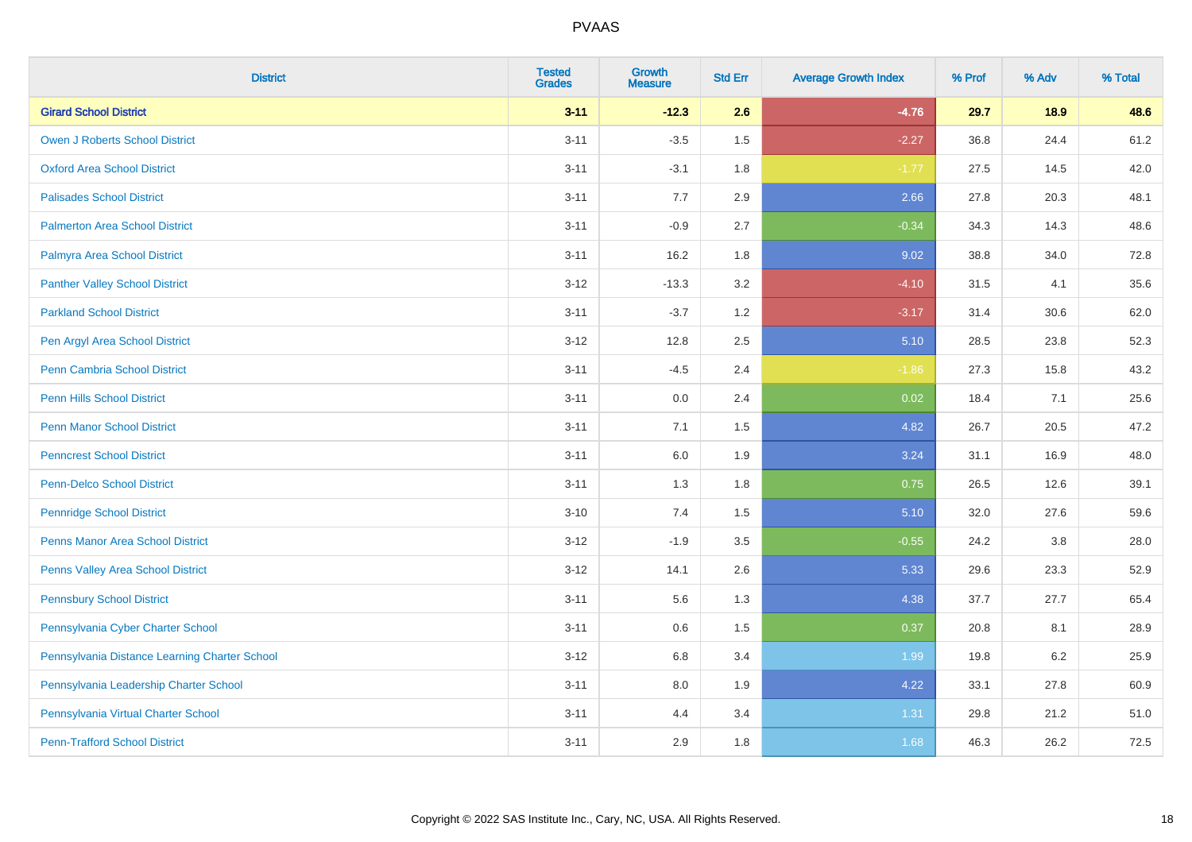| <b>District</b>                               | <b>Tested</b><br><b>Grades</b> | <b>Growth</b><br><b>Measure</b> | <b>Std Err</b> | <b>Average Growth Index</b> | % Prof | % Adv   | % Total |
|-----------------------------------------------|--------------------------------|---------------------------------|----------------|-----------------------------|--------|---------|---------|
| <b>Girard School District</b>                 | $3 - 11$                       | $-12.3$                         | 2.6            | $-4.76$                     | 29.7   | 18.9    | 48.6    |
| <b>Owen J Roberts School District</b>         | $3 - 11$                       | $-3.5$                          | 1.5            | $-2.27$                     | 36.8   | 24.4    | 61.2    |
| <b>Oxford Area School District</b>            | $3 - 11$                       | $-3.1$                          | 1.8            | $-1.77$                     | 27.5   | 14.5    | 42.0    |
| <b>Palisades School District</b>              | $3 - 11$                       | $7.7\,$                         | 2.9            | 2.66                        | 27.8   | 20.3    | 48.1    |
| <b>Palmerton Area School District</b>         | $3 - 11$                       | $-0.9$                          | 2.7            | $-0.34$                     | 34.3   | 14.3    | 48.6    |
| Palmyra Area School District                  | $3 - 11$                       | 16.2                            | 1.8            | 9.02                        | 38.8   | 34.0    | 72.8    |
| <b>Panther Valley School District</b>         | $3 - 12$                       | $-13.3$                         | 3.2            | $-4.10$                     | 31.5   | 4.1     | 35.6    |
| <b>Parkland School District</b>               | $3 - 11$                       | $-3.7$                          | 1.2            | $-3.17$                     | 31.4   | 30.6    | 62.0    |
| Pen Argyl Area School District                | $3 - 12$                       | 12.8                            | 2.5            | 5.10                        | 28.5   | 23.8    | 52.3    |
| <b>Penn Cambria School District</b>           | $3 - 11$                       | $-4.5$                          | 2.4            | $-1.86$                     | 27.3   | 15.8    | 43.2    |
| Penn Hills School District                    | $3 - 11$                       | 0.0                             | 2.4            | 0.02                        | 18.4   | 7.1     | 25.6    |
| <b>Penn Manor School District</b>             | $3 - 11$                       | 7.1                             | 1.5            | 4.82                        | 26.7   | 20.5    | 47.2    |
| <b>Penncrest School District</b>              | $3 - 11$                       | 6.0                             | 1.9            | 3.24                        | 31.1   | 16.9    | 48.0    |
| <b>Penn-Delco School District</b>             | $3 - 11$                       | 1.3                             | 1.8            | 0.75                        | 26.5   | 12.6    | 39.1    |
| <b>Pennridge School District</b>              | $3 - 10$                       | 7.4                             | 1.5            | 5.10                        | 32.0   | 27.6    | 59.6    |
| <b>Penns Manor Area School District</b>       | $3 - 12$                       | $-1.9$                          | 3.5            | $-0.55$                     | 24.2   | $3.8\,$ | 28.0    |
| Penns Valley Area School District             | $3 - 12$                       | 14.1                            | 2.6            | 5.33                        | 29.6   | 23.3    | 52.9    |
| <b>Pennsbury School District</b>              | $3 - 11$                       | 5.6                             | 1.3            | 4.38                        | 37.7   | 27.7    | 65.4    |
| Pennsylvania Cyber Charter School             | $3 - 11$                       | $0.6\,$                         | 1.5            | 0.37                        | 20.8   | 8.1     | 28.9    |
| Pennsylvania Distance Learning Charter School | $3 - 12$                       | $6.8\,$                         | 3.4            | 1.99                        | 19.8   | 6.2     | 25.9    |
| Pennsylvania Leadership Charter School        | $3 - 11$                       | 8.0                             | 1.9            | 4.22                        | 33.1   | 27.8    | 60.9    |
| Pennsylvania Virtual Charter School           | $3 - 11$                       | 4.4                             | 3.4            | 1.31                        | 29.8   | 21.2    | 51.0    |
| <b>Penn-Trafford School District</b>          | $3 - 11$                       | 2.9                             | 1.8            | 1.68                        | 46.3   | 26.2    | 72.5    |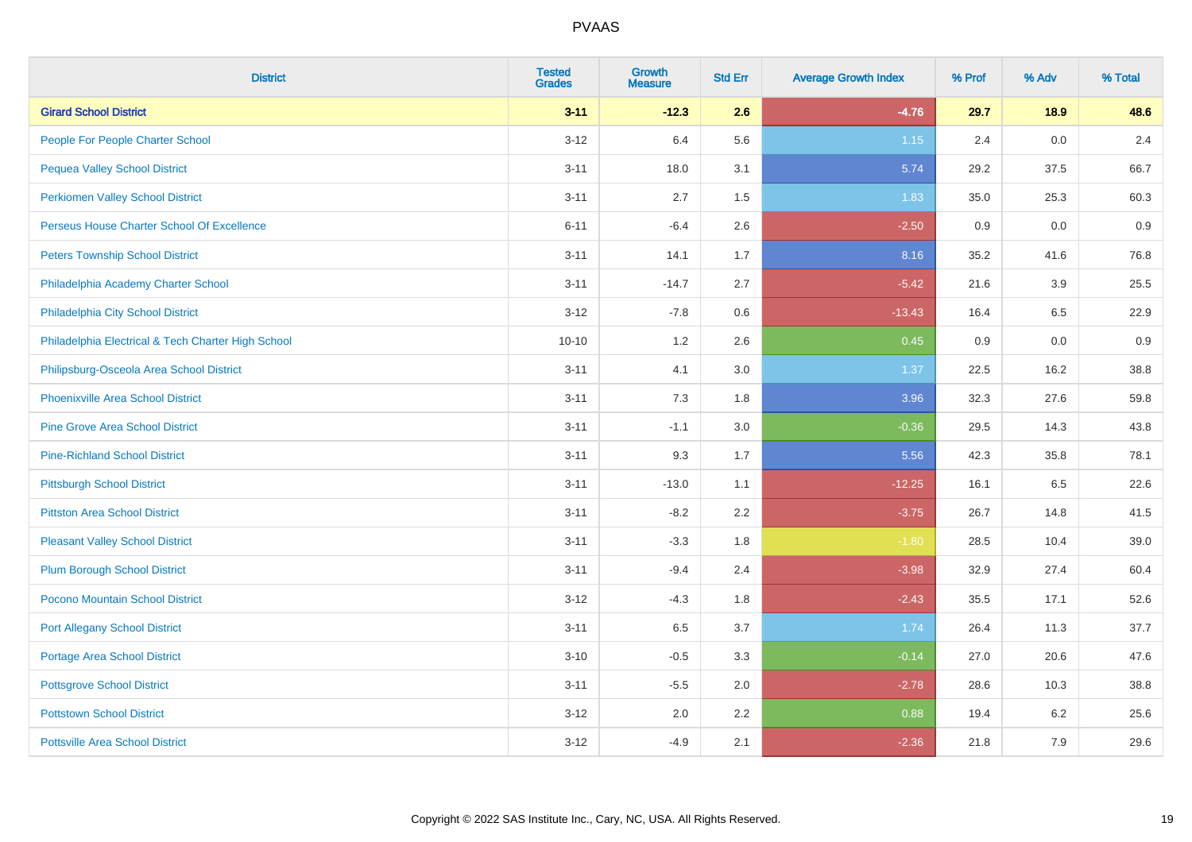| <b>District</b>                                    | <b>Tested</b><br><b>Grades</b> | <b>Growth</b><br><b>Measure</b> | <b>Std Err</b> | <b>Average Growth Index</b> | % Prof | % Adv | % Total |
|----------------------------------------------------|--------------------------------|---------------------------------|----------------|-----------------------------|--------|-------|---------|
| <b>Girard School District</b>                      | $3 - 11$                       | $-12.3$                         | 2.6            | $-4.76$                     | 29.7   | 18.9  | 48.6    |
| People For People Charter School                   | $3-12$                         | 6.4                             | 5.6            | 1.15                        | 2.4    | 0.0   | 2.4     |
| <b>Pequea Valley School District</b>               | $3 - 11$                       | 18.0                            | 3.1            | 5.74                        | 29.2   | 37.5  | 66.7    |
| <b>Perkiomen Valley School District</b>            | $3 - 11$                       | 2.7                             | 1.5            | 1.83                        | 35.0   | 25.3  | 60.3    |
| Perseus House Charter School Of Excellence         | $6 - 11$                       | $-6.4$                          | 2.6            | $-2.50$                     | 0.9    | 0.0   | 0.9     |
| <b>Peters Township School District</b>             | $3 - 11$                       | 14.1                            | 1.7            | 8.16                        | 35.2   | 41.6  | 76.8    |
| Philadelphia Academy Charter School                | $3 - 11$                       | $-14.7$                         | 2.7            | $-5.42$                     | 21.6   | 3.9   | 25.5    |
| Philadelphia City School District                  | $3 - 12$                       | $-7.8$                          | 0.6            | $-13.43$                    | 16.4   | 6.5   | 22.9    |
| Philadelphia Electrical & Tech Charter High School | $10 - 10$                      | 1.2                             | 2.6            | 0.45                        | 0.9    | 0.0   | 0.9     |
| Philipsburg-Osceola Area School District           | $3 - 11$                       | 4.1                             | 3.0            | 1.37                        | 22.5   | 16.2  | 38.8    |
| <b>Phoenixville Area School District</b>           | $3 - 11$                       | 7.3                             | 1.8            | 3.96                        | 32.3   | 27.6  | 59.8    |
| <b>Pine Grove Area School District</b>             | $3 - 11$                       | $-1.1$                          | 3.0            | $-0.36$                     | 29.5   | 14.3  | 43.8    |
| <b>Pine-Richland School District</b>               | $3 - 11$                       | 9.3                             | 1.7            | 5.56                        | 42.3   | 35.8  | 78.1    |
| <b>Pittsburgh School District</b>                  | $3 - 11$                       | $-13.0$                         | 1.1            | $-12.25$                    | 16.1   | 6.5   | 22.6    |
| <b>Pittston Area School District</b>               | $3 - 11$                       | $-8.2$                          | 2.2            | $-3.75$                     | 26.7   | 14.8  | 41.5    |
| <b>Pleasant Valley School District</b>             | $3 - 11$                       | $-3.3$                          | 1.8            | $-1.80$                     | 28.5   | 10.4  | 39.0    |
| <b>Plum Borough School District</b>                | $3 - 11$                       | $-9.4$                          | 2.4            | $-3.98$                     | 32.9   | 27.4  | 60.4    |
| Pocono Mountain School District                    | $3 - 12$                       | $-4.3$                          | 1.8            | $-2.43$                     | 35.5   | 17.1  | 52.6    |
| <b>Port Allegany School District</b>               | $3 - 11$                       | 6.5                             | 3.7            | 1.74                        | 26.4   | 11.3  | 37.7    |
| <b>Portage Area School District</b>                | $3 - 10$                       | $-0.5$                          | 3.3            | $-0.14$                     | 27.0   | 20.6  | 47.6    |
| <b>Pottsgrove School District</b>                  | $3 - 11$                       | $-5.5$                          | 2.0            | $-2.78$                     | 28.6   | 10.3  | 38.8    |
| <b>Pottstown School District</b>                   | $3 - 12$                       | 2.0                             | 2.2            | 0.88                        | 19.4   | 6.2   | 25.6    |
| <b>Pottsville Area School District</b>             | $3 - 12$                       | $-4.9$                          | 2.1            | $-2.36$                     | 21.8   | 7.9   | 29.6    |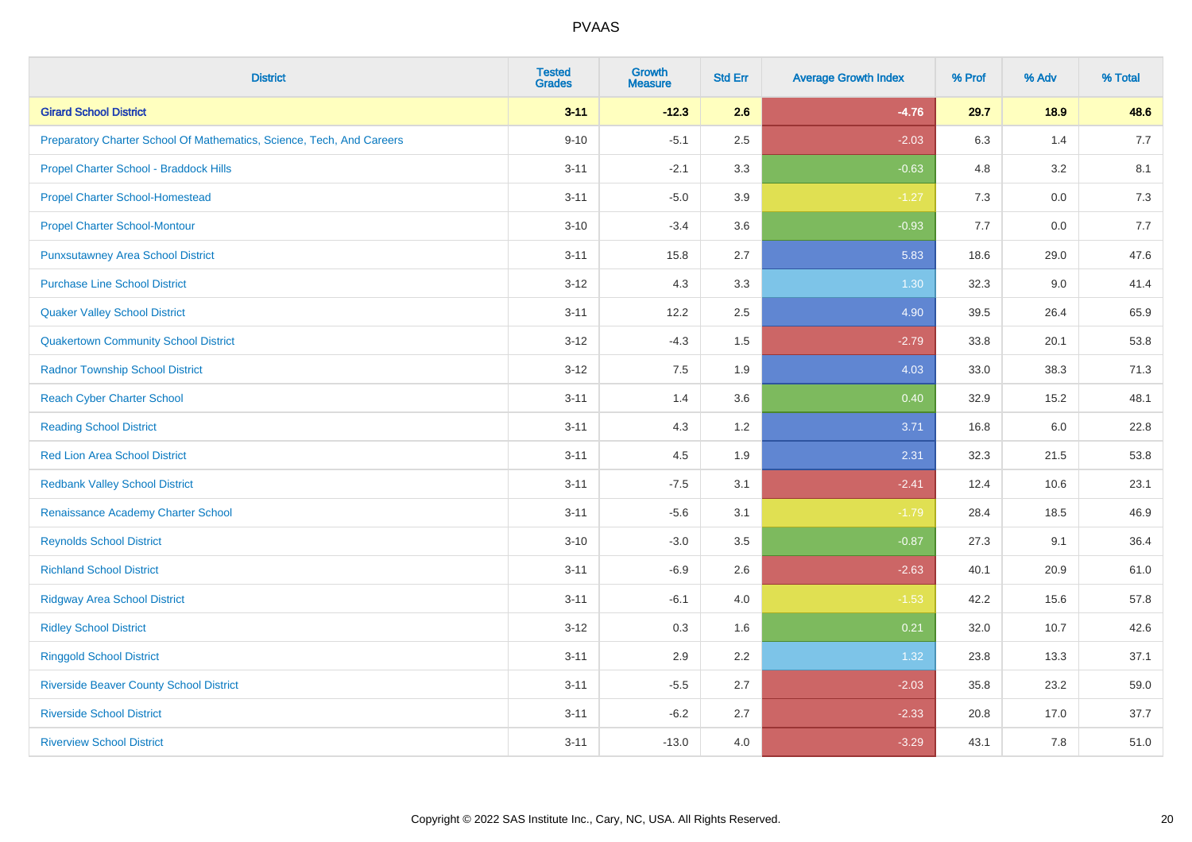| <b>District</b>                                                       | <b>Tested</b><br><b>Grades</b> | <b>Growth</b><br><b>Measure</b> | <b>Std Err</b> | <b>Average Growth Index</b> | % Prof | % Adv   | % Total |
|-----------------------------------------------------------------------|--------------------------------|---------------------------------|----------------|-----------------------------|--------|---------|---------|
| <b>Girard School District</b>                                         | $3 - 11$                       | $-12.3$                         | 2.6            | $-4.76$                     | 29.7   | 18.9    | 48.6    |
| Preparatory Charter School Of Mathematics, Science, Tech, And Careers | $9 - 10$                       | $-5.1$                          | 2.5            | $-2.03$                     | 6.3    | 1.4     | 7.7     |
| Propel Charter School - Braddock Hills                                | $3 - 11$                       | $-2.1$                          | 3.3            | $-0.63$                     | 4.8    | 3.2     | 8.1     |
| <b>Propel Charter School-Homestead</b>                                | $3 - 11$                       | $-5.0$                          | 3.9            | $-1.27$                     | 7.3    | $0.0\,$ | 7.3     |
| <b>Propel Charter School-Montour</b>                                  | $3 - 10$                       | $-3.4$                          | 3.6            | $-0.93$                     | 7.7    | 0.0     | 7.7     |
| <b>Punxsutawney Area School District</b>                              | $3 - 11$                       | 15.8                            | 2.7            | 5.83                        | 18.6   | 29.0    | 47.6    |
| <b>Purchase Line School District</b>                                  | $3 - 12$                       | 4.3                             | 3.3            | 1.30                        | 32.3   | 9.0     | 41.4    |
| <b>Quaker Valley School District</b>                                  | $3 - 11$                       | 12.2                            | 2.5            | 4.90                        | 39.5   | 26.4    | 65.9    |
| <b>Quakertown Community School District</b>                           | $3 - 12$                       | $-4.3$                          | 1.5            | $-2.79$                     | 33.8   | 20.1    | 53.8    |
| <b>Radnor Township School District</b>                                | $3 - 12$                       | 7.5                             | 1.9            | 4.03                        | 33.0   | 38.3    | 71.3    |
| <b>Reach Cyber Charter School</b>                                     | $3 - 11$                       | 1.4                             | 3.6            | 0.40                        | 32.9   | 15.2    | 48.1    |
| <b>Reading School District</b>                                        | $3 - 11$                       | 4.3                             | 1.2            | 3.71                        | 16.8   | 6.0     | 22.8    |
| Red Lion Area School District                                         | $3 - 11$                       | 4.5                             | 1.9            | 2.31                        | 32.3   | 21.5    | 53.8    |
| <b>Redbank Valley School District</b>                                 | $3 - 11$                       | $-7.5$                          | 3.1            | $-2.41$                     | 12.4   | 10.6    | 23.1    |
| Renaissance Academy Charter School                                    | $3 - 11$                       | $-5.6$                          | 3.1            | $-1.79$                     | 28.4   | 18.5    | 46.9    |
| <b>Reynolds School District</b>                                       | $3 - 10$                       | $-3.0$                          | 3.5            | $-0.87$                     | 27.3   | 9.1     | 36.4    |
| <b>Richland School District</b>                                       | $3 - 11$                       | $-6.9$                          | 2.6            | $-2.63$                     | 40.1   | 20.9    | 61.0    |
| <b>Ridgway Area School District</b>                                   | $3 - 11$                       | $-6.1$                          | 4.0            | $-1.53$                     | 42.2   | 15.6    | 57.8    |
| <b>Ridley School District</b>                                         | $3 - 12$                       | 0.3                             | 1.6            | 0.21                        | 32.0   | 10.7    | 42.6    |
| <b>Ringgold School District</b>                                       | $3 - 11$                       | 2.9                             | 2.2            | 1.32                        | 23.8   | 13.3    | 37.1    |
| <b>Riverside Beaver County School District</b>                        | $3 - 11$                       | $-5.5$                          | 2.7            | $-2.03$                     | 35.8   | 23.2    | 59.0    |
| <b>Riverside School District</b>                                      | $3 - 11$                       | $-6.2$                          | 2.7            | $-2.33$                     | 20.8   | 17.0    | 37.7    |
| <b>Riverview School District</b>                                      | $3 - 11$                       | $-13.0$                         | 4.0            | $-3.29$                     | 43.1   | 7.8     | 51.0    |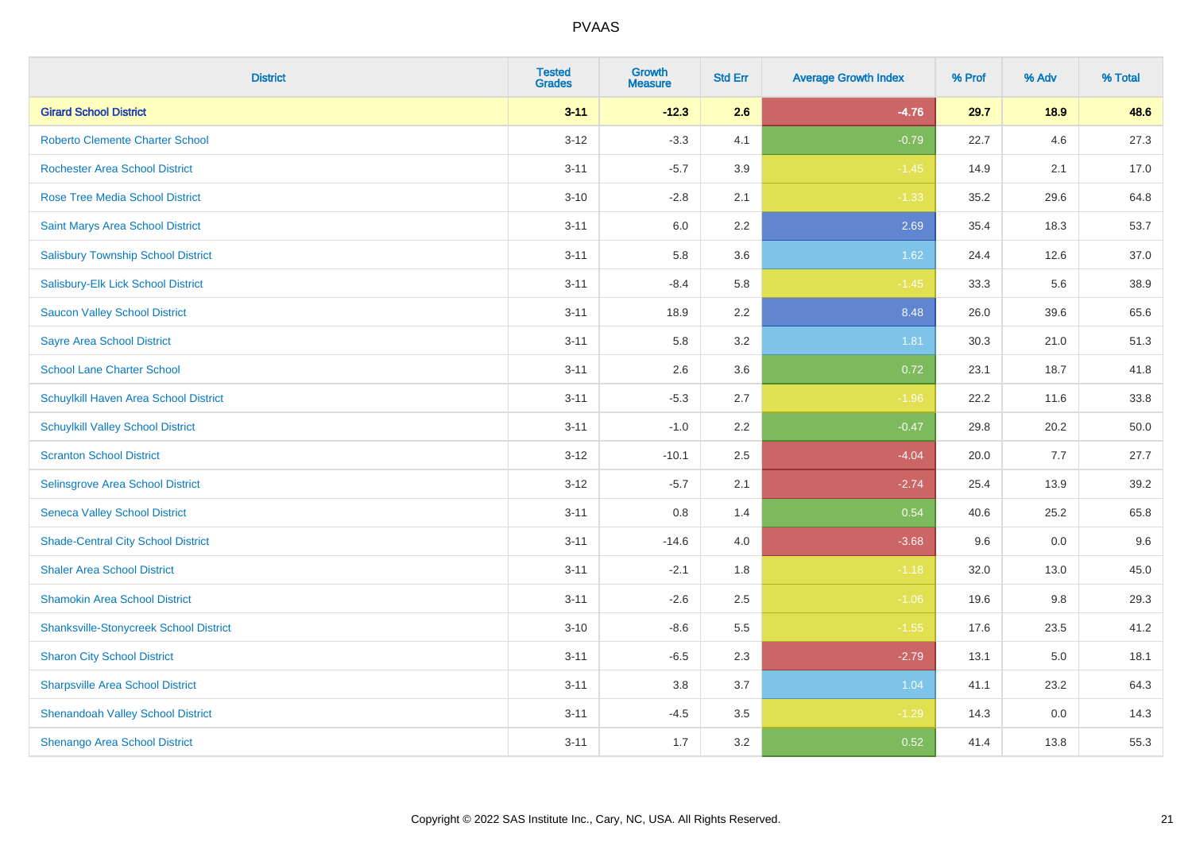| <b>District</b>                               | <b>Tested</b><br><b>Grades</b> | <b>Growth</b><br><b>Measure</b> | <b>Std Err</b> | <b>Average Growth Index</b> | % Prof | % Adv | % Total |
|-----------------------------------------------|--------------------------------|---------------------------------|----------------|-----------------------------|--------|-------|---------|
| <b>Girard School District</b>                 | $3 - 11$                       | $-12.3$                         | 2.6            | $-4.76$                     | 29.7   | 18.9  | 48.6    |
| <b>Roberto Clemente Charter School</b>        | $3 - 12$                       | $-3.3$                          | 4.1            | $-0.79$                     | 22.7   | 4.6   | 27.3    |
| <b>Rochester Area School District</b>         | $3 - 11$                       | $-5.7$                          | 3.9            | $-1.45$                     | 14.9   | 2.1   | 17.0    |
| Rose Tree Media School District               | $3 - 10$                       | $-2.8$                          | 2.1            | $-1.33$                     | 35.2   | 29.6  | 64.8    |
| Saint Marys Area School District              | $3 - 11$                       | 6.0                             | 2.2            | 2.69                        | 35.4   | 18.3  | 53.7    |
| <b>Salisbury Township School District</b>     | $3 - 11$                       | 5.8                             | 3.6            | 1.62                        | 24.4   | 12.6  | 37.0    |
| Salisbury-Elk Lick School District            | $3 - 11$                       | $-8.4$                          | 5.8            | $-1.45$                     | 33.3   | 5.6   | 38.9    |
| <b>Saucon Valley School District</b>          | $3 - 11$                       | 18.9                            | 2.2            | 8.48                        | 26.0   | 39.6  | 65.6    |
| <b>Sayre Area School District</b>             | $3 - 11$                       | 5.8                             | 3.2            | 1.81                        | 30.3   | 21.0  | 51.3    |
| <b>School Lane Charter School</b>             | $3 - 11$                       | $2.6\,$                         | 3.6            | 0.72                        | 23.1   | 18.7  | 41.8    |
| Schuylkill Haven Area School District         | $3 - 11$                       | $-5.3$                          | 2.7            | $-1.96$                     | 22.2   | 11.6  | 33.8    |
| <b>Schuylkill Valley School District</b>      | $3 - 11$                       | $-1.0$                          | 2.2            | $-0.47$                     | 29.8   | 20.2  | 50.0    |
| <b>Scranton School District</b>               | $3 - 12$                       | $-10.1$                         | 2.5            | $-4.04$                     | 20.0   | 7.7   | 27.7    |
| Selinsgrove Area School District              | $3 - 12$                       | $-5.7$                          | 2.1            | $-2.74$                     | 25.4   | 13.9  | 39.2    |
| <b>Seneca Valley School District</b>          | $3 - 11$                       | $0.8\,$                         | 1.4            | 0.54                        | 40.6   | 25.2  | 65.8    |
| <b>Shade-Central City School District</b>     | $3 - 11$                       | $-14.6$                         | 4.0            | $-3.68$                     | 9.6    | 0.0   | 9.6     |
| <b>Shaler Area School District</b>            | $3 - 11$                       | $-2.1$                          | 1.8            | $-1.18$                     | 32.0   | 13.0  | 45.0    |
| <b>Shamokin Area School District</b>          | $3 - 11$                       | $-2.6$                          | 2.5            | $-1.06$                     | 19.6   | 9.8   | 29.3    |
| <b>Shanksville-Stonycreek School District</b> | $3 - 10$                       | $-8.6$                          | 5.5            | $-1.55$                     | 17.6   | 23.5  | 41.2    |
| <b>Sharon City School District</b>            | $3 - 11$                       | $-6.5$                          | 2.3            | $-2.79$                     | 13.1   | 5.0   | 18.1    |
| <b>Sharpsville Area School District</b>       | $3 - 11$                       | 3.8                             | 3.7            | 1.04                        | 41.1   | 23.2  | 64.3    |
| <b>Shenandoah Valley School District</b>      | $3 - 11$                       | $-4.5$                          | 3.5            | $-1.29$                     | 14.3   | 0.0   | 14.3    |
| Shenango Area School District                 | $3 - 11$                       | 1.7                             | 3.2            | 0.52                        | 41.4   | 13.8  | 55.3    |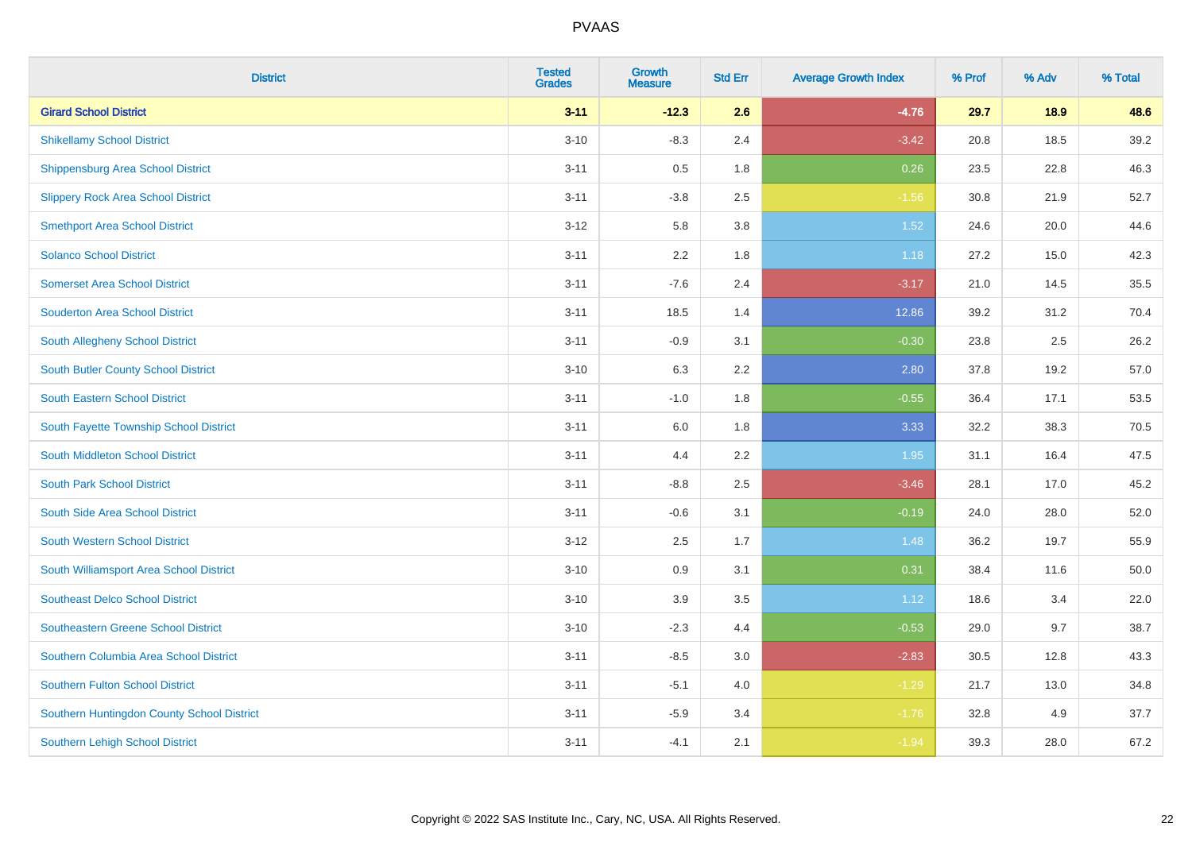| <b>District</b>                            | <b>Tested</b><br><b>Grades</b> | <b>Growth</b><br><b>Measure</b> | <b>Std Err</b> | <b>Average Growth Index</b> | % Prof | % Adv | % Total |
|--------------------------------------------|--------------------------------|---------------------------------|----------------|-----------------------------|--------|-------|---------|
| <b>Girard School District</b>              | $3 - 11$                       | $-12.3$                         | 2.6            | $-4.76$                     | 29.7   | 18.9  | 48.6    |
| <b>Shikellamy School District</b>          | $3 - 10$                       | $-8.3$                          | 2.4            | $-3.42$                     | 20.8   | 18.5  | 39.2    |
| <b>Shippensburg Area School District</b>   | $3 - 11$                       | 0.5                             | 1.8            | 0.26                        | 23.5   | 22.8  | 46.3    |
| <b>Slippery Rock Area School District</b>  | $3 - 11$                       | $-3.8$                          | 2.5            | $-1.56$                     | 30.8   | 21.9  | 52.7    |
| <b>Smethport Area School District</b>      | $3 - 12$                       | 5.8                             | 3.8            | 1.52                        | 24.6   | 20.0  | 44.6    |
| <b>Solanco School District</b>             | $3 - 11$                       | 2.2                             | 1.8            | 1.18                        | 27.2   | 15.0  | 42.3    |
| <b>Somerset Area School District</b>       | $3 - 11$                       | $-7.6$                          | 2.4            | $-3.17$                     | 21.0   | 14.5  | 35.5    |
| <b>Souderton Area School District</b>      | $3 - 11$                       | 18.5                            | 1.4            | 12.86                       | 39.2   | 31.2  | 70.4    |
| South Allegheny School District            | $3 - 11$                       | $-0.9$                          | 3.1            | $-0.30$                     | 23.8   | 2.5   | 26.2    |
| South Butler County School District        | $3 - 10$                       | 6.3                             | 2.2            | 2.80                        | 37.8   | 19.2  | 57.0    |
| <b>South Eastern School District</b>       | $3 - 11$                       | $-1.0$                          | 1.8            | $-0.55$                     | 36.4   | 17.1  | 53.5    |
| South Fayette Township School District     | $3 - 11$                       | 6.0                             | 1.8            | 3.33                        | 32.2   | 38.3  | 70.5    |
| South Middleton School District            | $3 - 11$                       | 4.4                             | 2.2            | 1.95                        | 31.1   | 16.4  | 47.5    |
| <b>South Park School District</b>          | $3 - 11$                       | $-8.8$                          | 2.5            | $-3.46$                     | 28.1   | 17.0  | 45.2    |
| South Side Area School District            | $3 - 11$                       | $-0.6$                          | 3.1            | $-0.19$                     | 24.0   | 28.0  | 52.0    |
| <b>South Western School District</b>       | $3 - 12$                       | 2.5                             | 1.7            | 1.48                        | 36.2   | 19.7  | 55.9    |
| South Williamsport Area School District    | $3 - 10$                       | 0.9                             | 3.1            | 0.31                        | 38.4   | 11.6  | 50.0    |
| <b>Southeast Delco School District</b>     | $3 - 10$                       | 3.9                             | 3.5            | 1.12                        | 18.6   | 3.4   | 22.0    |
| <b>Southeastern Greene School District</b> | $3 - 10$                       | $-2.3$                          | 4.4            | $-0.53$                     | 29.0   | 9.7   | 38.7    |
| Southern Columbia Area School District     | $3 - 11$                       | $-8.5$                          | 3.0            | $-2.83$                     | 30.5   | 12.8  | 43.3    |
| <b>Southern Fulton School District</b>     | $3 - 11$                       | $-5.1$                          | 4.0            | $-1.29$                     | 21.7   | 13.0  | 34.8    |
| Southern Huntingdon County School District | $3 - 11$                       | $-5.9$                          | 3.4            | $-1.76$                     | 32.8   | 4.9   | 37.7    |
| <b>Southern Lehigh School District</b>     | $3 - 11$                       | $-4.1$                          | 2.1            | $-1.94$                     | 39.3   | 28.0  | 67.2    |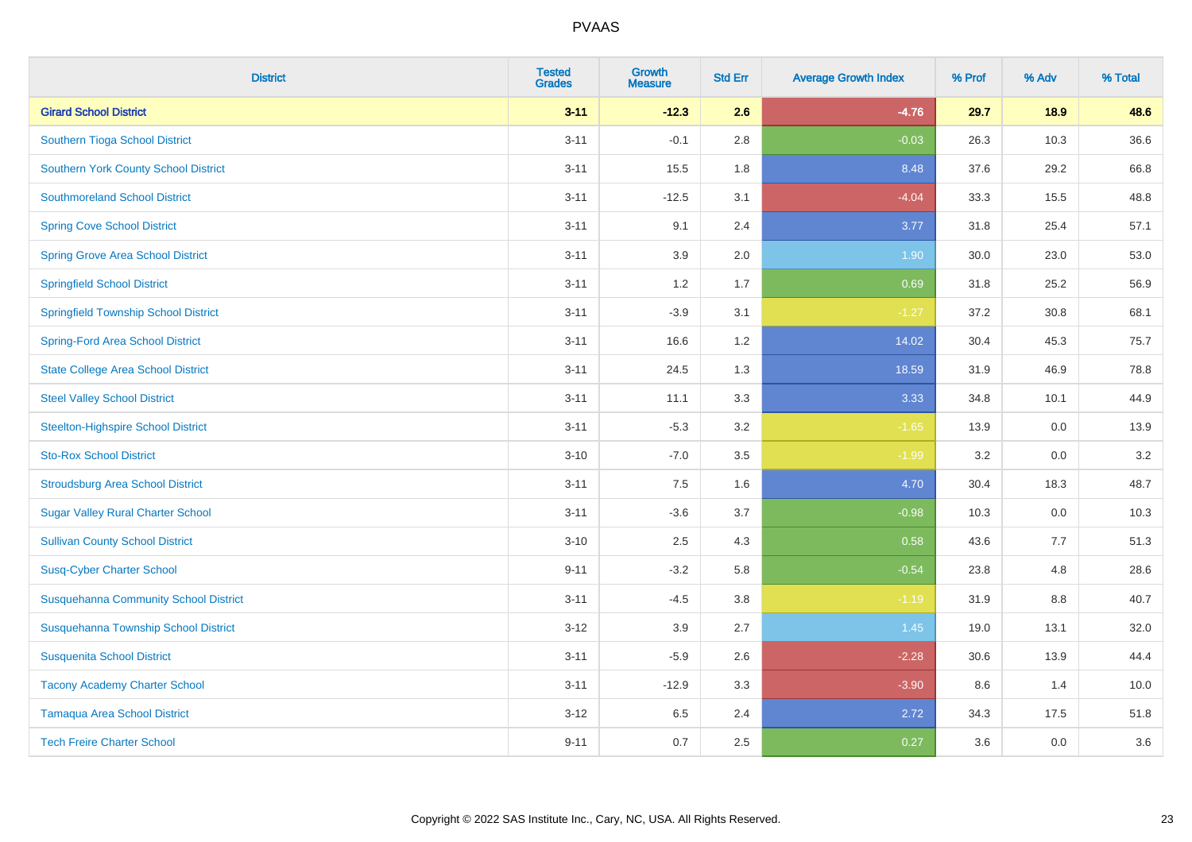| <b>District</b>                              | <b>Tested</b><br><b>Grades</b> | <b>Growth</b><br><b>Measure</b> | <b>Std Err</b> | <b>Average Growth Index</b> | % Prof | % Adv | % Total |
|----------------------------------------------|--------------------------------|---------------------------------|----------------|-----------------------------|--------|-------|---------|
| <b>Girard School District</b>                | $3 - 11$                       | $-12.3$                         | 2.6            | $-4.76$                     | 29.7   | 18.9  | 48.6    |
| Southern Tioga School District               | $3 - 11$                       | $-0.1$                          | 2.8            | $-0.03$                     | 26.3   | 10.3  | 36.6    |
| <b>Southern York County School District</b>  | $3 - 11$                       | 15.5                            | 1.8            | 8.48                        | 37.6   | 29.2  | 66.8    |
| <b>Southmoreland School District</b>         | $3 - 11$                       | $-12.5$                         | 3.1            | $-4.04$                     | 33.3   | 15.5  | 48.8    |
| <b>Spring Cove School District</b>           | $3 - 11$                       | 9.1                             | 2.4            | 3.77                        | 31.8   | 25.4  | 57.1    |
| <b>Spring Grove Area School District</b>     | $3 - 11$                       | 3.9                             | 2.0            | 1.90                        | 30.0   | 23.0  | 53.0    |
| <b>Springfield School District</b>           | $3 - 11$                       | 1.2                             | 1.7            | 0.69                        | 31.8   | 25.2  | 56.9    |
| <b>Springfield Township School District</b>  | $3 - 11$                       | $-3.9$                          | 3.1            | $-1.27$                     | 37.2   | 30.8  | 68.1    |
| <b>Spring-Ford Area School District</b>      | $3 - 11$                       | 16.6                            | 1.2            | 14.02                       | 30.4   | 45.3  | 75.7    |
| <b>State College Area School District</b>    | $3 - 11$                       | 24.5                            | 1.3            | 18.59                       | 31.9   | 46.9  | 78.8    |
| <b>Steel Valley School District</b>          | $3 - 11$                       | 11.1                            | 3.3            | 3.33                        | 34.8   | 10.1  | 44.9    |
| <b>Steelton-Highspire School District</b>    | $3 - 11$                       | $-5.3$                          | 3.2            | $-1.65$                     | 13.9   | 0.0   | 13.9    |
| <b>Sto-Rox School District</b>               | $3 - 10$                       | $-7.0$                          | 3.5            | $-1.99$                     | 3.2    | 0.0   | 3.2     |
| <b>Stroudsburg Area School District</b>      | $3 - 11$                       | $7.5\,$                         | 1.6            | 4.70                        | 30.4   | 18.3  | 48.7    |
| <b>Sugar Valley Rural Charter School</b>     | $3 - 11$                       | $-3.6$                          | 3.7            | $-0.98$                     | 10.3   | 0.0   | 10.3    |
| <b>Sullivan County School District</b>       | $3 - 10$                       | 2.5                             | 4.3            | 0.58                        | 43.6   | 7.7   | 51.3    |
| <b>Susq-Cyber Charter School</b>             | $9 - 11$                       | $-3.2$                          | 5.8            | $-0.54$                     | 23.8   | 4.8   | 28.6    |
| <b>Susquehanna Community School District</b> | $3 - 11$                       | $-4.5$                          | 3.8            | $-1.19$                     | 31.9   | 8.8   | 40.7    |
| Susquehanna Township School District         | $3 - 12$                       | 3.9                             | 2.7            | 1.45                        | 19.0   | 13.1  | 32.0    |
| <b>Susquenita School District</b>            | $3 - 11$                       | $-5.9$                          | 2.6            | $-2.28$                     | 30.6   | 13.9  | 44.4    |
| <b>Tacony Academy Charter School</b>         | $3 - 11$                       | $-12.9$                         | 3.3            | $-3.90$                     | 8.6    | 1.4   | 10.0    |
| <b>Tamaqua Area School District</b>          | $3 - 12$                       | 6.5                             | 2.4            | 2.72                        | 34.3   | 17.5  | 51.8    |
| <b>Tech Freire Charter School</b>            | $9 - 11$                       | 0.7                             | 2.5            | 0.27                        | 3.6    | 0.0   | 3.6     |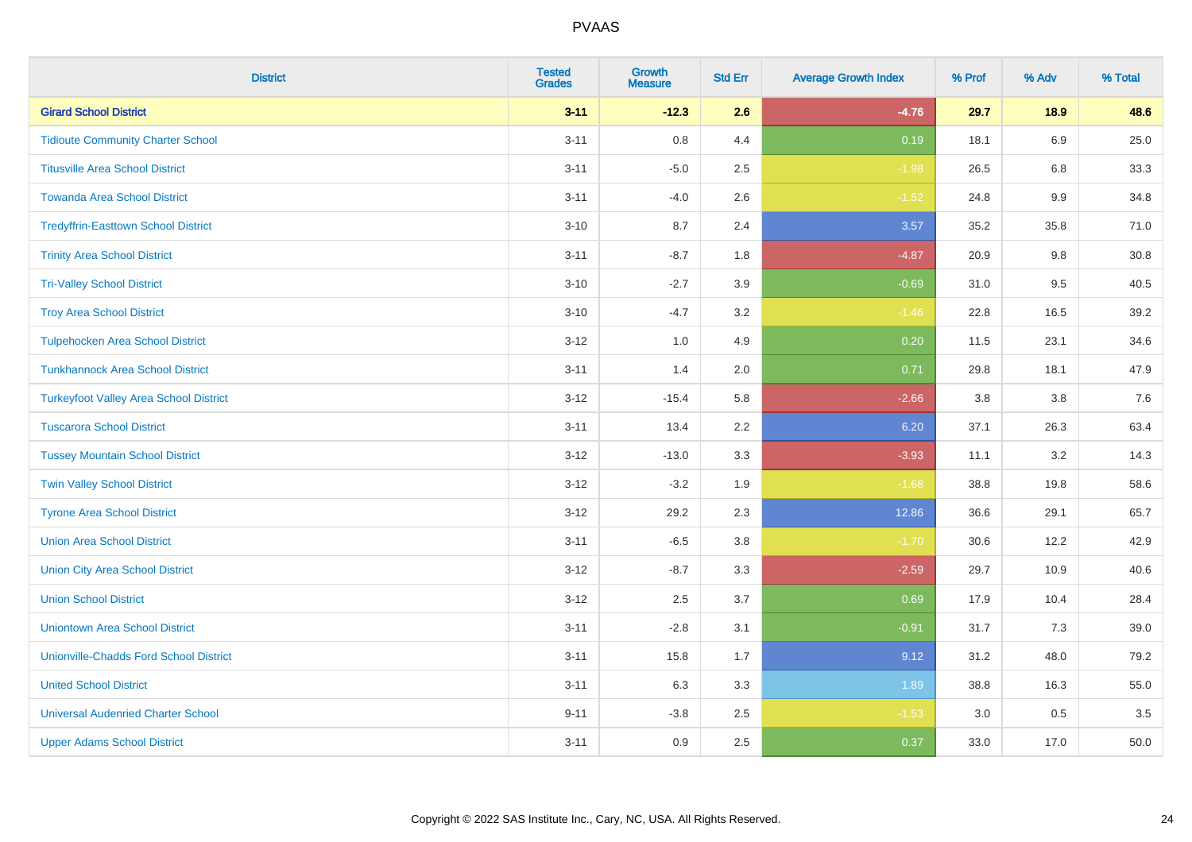| <b>District</b>                               | <b>Tested</b><br><b>Grades</b> | <b>Growth</b><br><b>Measure</b> | <b>Std Err</b> | <b>Average Growth Index</b> | % Prof | % Adv   | % Total |
|-----------------------------------------------|--------------------------------|---------------------------------|----------------|-----------------------------|--------|---------|---------|
| <b>Girard School District</b>                 | $3 - 11$                       | $-12.3$                         | 2.6            | $-4.76$                     | 29.7   | 18.9    | 48.6    |
| <b>Tidioute Community Charter School</b>      | $3 - 11$                       | 0.8                             | 4.4            | 0.19                        | 18.1   | 6.9     | 25.0    |
| <b>Titusville Area School District</b>        | $3 - 11$                       | $-5.0$                          | 2.5            | $-1.98$                     | 26.5   | 6.8     | 33.3    |
| <b>Towanda Area School District</b>           | $3 - 11$                       | $-4.0$                          | 2.6            | $-1.52$                     | 24.8   | $9.9\,$ | 34.8    |
| <b>Tredyffrin-Easttown School District</b>    | $3 - 10$                       | 8.7                             | 2.4            | 3.57                        | 35.2   | 35.8    | 71.0    |
| <b>Trinity Area School District</b>           | $3 - 11$                       | $-8.7$                          | 1.8            | $-4.87$                     | 20.9   | 9.8     | 30.8    |
| <b>Tri-Valley School District</b>             | $3 - 10$                       | $-2.7$                          | 3.9            | $-0.69$                     | 31.0   | 9.5     | 40.5    |
| <b>Troy Area School District</b>              | $3 - 10$                       | $-4.7$                          | 3.2            | $-1.46$                     | 22.8   | 16.5    | 39.2    |
| <b>Tulpehocken Area School District</b>       | $3 - 12$                       | 1.0                             | 4.9            | 0.20                        | 11.5   | 23.1    | 34.6    |
| <b>Tunkhannock Area School District</b>       | $3 - 11$                       | 1.4                             | 2.0            | 0.71                        | 29.8   | 18.1    | 47.9    |
| <b>Turkeyfoot Valley Area School District</b> | $3 - 12$                       | $-15.4$                         | 5.8            | $-2.66$                     | 3.8    | 3.8     | 7.6     |
| <b>Tuscarora School District</b>              | $3 - 11$                       | 13.4                            | 2.2            | 6.20                        | 37.1   | 26.3    | 63.4    |
| <b>Tussey Mountain School District</b>        | $3 - 12$                       | $-13.0$                         | 3.3            | $-3.93$                     | 11.1   | $3.2\,$ | 14.3    |
| <b>Twin Valley School District</b>            | $3 - 12$                       | $-3.2$                          | 1.9            | $-1.68$                     | 38.8   | 19.8    | 58.6    |
| <b>Tyrone Area School District</b>            | $3 - 12$                       | 29.2                            | 2.3            | 12.86                       | 36.6   | 29.1    | 65.7    |
| <b>Union Area School District</b>             | $3 - 11$                       | $-6.5$                          | 3.8            | $-1.70$                     | 30.6   | 12.2    | 42.9    |
| <b>Union City Area School District</b>        | $3 - 12$                       | $-8.7$                          | 3.3            | $-2.59$                     | 29.7   | 10.9    | 40.6    |
| <b>Union School District</b>                  | $3 - 12$                       | 2.5                             | 3.7            | 0.69                        | 17.9   | 10.4    | 28.4    |
| <b>Uniontown Area School District</b>         | $3 - 11$                       | $-2.8$                          | 3.1            | $-0.91$                     | 31.7   | 7.3     | 39.0    |
| <b>Unionville-Chadds Ford School District</b> | $3 - 11$                       | 15.8                            | 1.7            | 9.12                        | 31.2   | 48.0    | 79.2    |
| <b>United School District</b>                 | $3 - 11$                       | 6.3                             | 3.3            | 1.89                        | 38.8   | 16.3    | 55.0    |
| <b>Universal Audenried Charter School</b>     | $9 - 11$                       | $-3.8$                          | 2.5            | $-1.53$                     | 3.0    | 0.5     | 3.5     |
| <b>Upper Adams School District</b>            | $3 - 11$                       | 0.9                             | 2.5            | 0.37                        | 33.0   | 17.0    | 50.0    |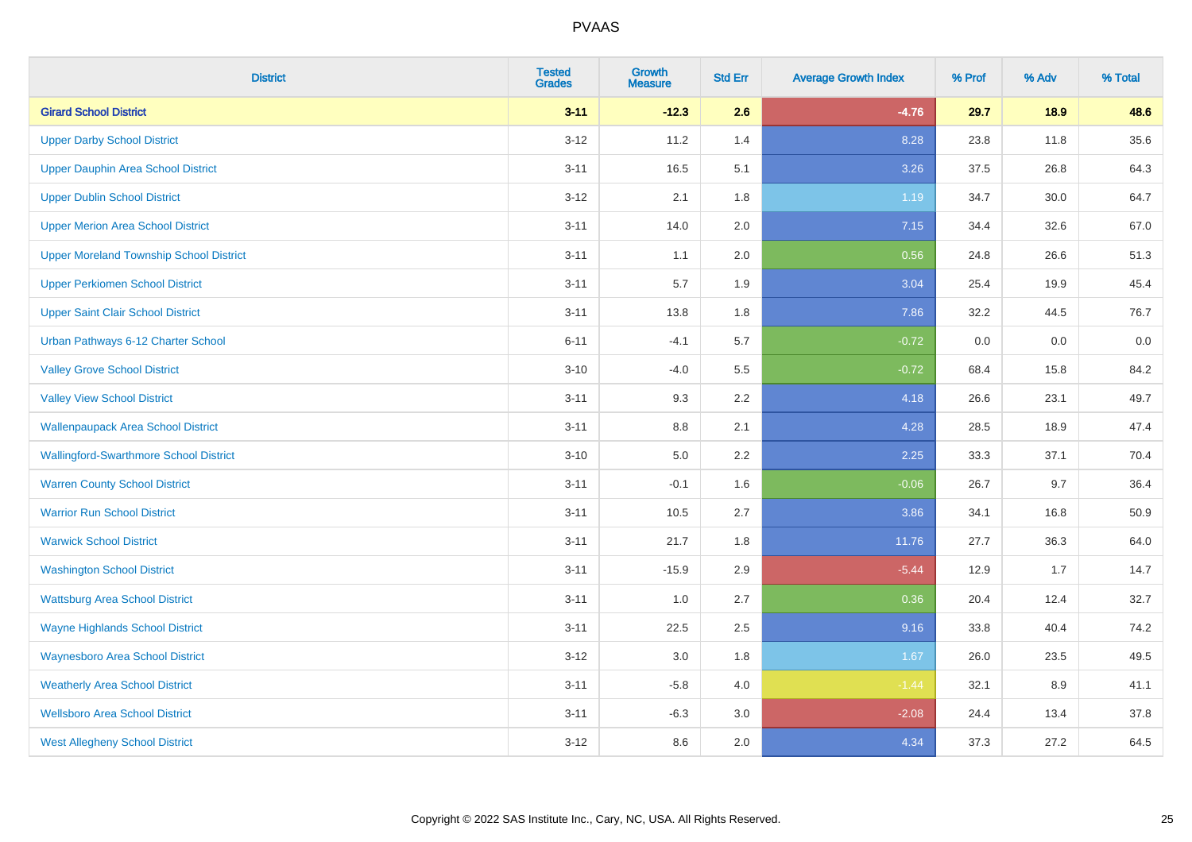| <b>District</b>                                | <b>Tested</b><br><b>Grades</b> | Growth<br><b>Measure</b> | <b>Std Err</b> | <b>Average Growth Index</b> | % Prof | % Adv | % Total |
|------------------------------------------------|--------------------------------|--------------------------|----------------|-----------------------------|--------|-------|---------|
| <b>Girard School District</b>                  | $3 - 11$                       | $-12.3$                  | 2.6            | $-4.76$                     | 29.7   | 18.9  | 48.6    |
| <b>Upper Darby School District</b>             | $3 - 12$                       | 11.2                     | 1.4            | 8.28                        | 23.8   | 11.8  | 35.6    |
| <b>Upper Dauphin Area School District</b>      | $3 - 11$                       | 16.5                     | 5.1            | 3.26                        | 37.5   | 26.8  | 64.3    |
| <b>Upper Dublin School District</b>            | $3 - 12$                       | 2.1                      | 1.8            | 1.19                        | 34.7   | 30.0  | 64.7    |
| <b>Upper Merion Area School District</b>       | $3 - 11$                       | 14.0                     | 2.0            | 7.15                        | 34.4   | 32.6  | 67.0    |
| <b>Upper Moreland Township School District</b> | $3 - 11$                       | 1.1                      | 2.0            | 0.56                        | 24.8   | 26.6  | 51.3    |
| <b>Upper Perkiomen School District</b>         | $3 - 11$                       | 5.7                      | 1.9            | 3.04                        | 25.4   | 19.9  | 45.4    |
| <b>Upper Saint Clair School District</b>       | $3 - 11$                       | 13.8                     | 1.8            | 7.86                        | 32.2   | 44.5  | 76.7    |
| Urban Pathways 6-12 Charter School             | $6 - 11$                       | $-4.1$                   | 5.7            | $-0.72$                     | 0.0    | 0.0   | $0.0\,$ |
| <b>Valley Grove School District</b>            | $3 - 10$                       | $-4.0$                   | 5.5            | $-0.72$                     | 68.4   | 15.8  | 84.2    |
| <b>Valley View School District</b>             | $3 - 11$                       | 9.3                      | 2.2            | 4.18                        | 26.6   | 23.1  | 49.7    |
| <b>Wallenpaupack Area School District</b>      | $3 - 11$                       | 8.8                      | 2.1            | 4.28                        | 28.5   | 18.9  | 47.4    |
| <b>Wallingford-Swarthmore School District</b>  | $3 - 10$                       | 5.0                      | $2.2\,$        | 2.25                        | 33.3   | 37.1  | 70.4    |
| <b>Warren County School District</b>           | $3 - 11$                       | $-0.1$                   | 1.6            | $-0.06$                     | 26.7   | 9.7   | 36.4    |
| <b>Warrior Run School District</b>             | $3 - 11$                       | 10.5                     | 2.7            | 3.86                        | 34.1   | 16.8  | 50.9    |
| <b>Warwick School District</b>                 | $3 - 11$                       | 21.7                     | 1.8            | 11.76                       | 27.7   | 36.3  | 64.0    |
| <b>Washington School District</b>              | $3 - 11$                       | $-15.9$                  | 2.9            | $-5.44$                     | 12.9   | 1.7   | 14.7    |
| <b>Wattsburg Area School District</b>          | $3 - 11$                       | 1.0                      | 2.7            | 0.36                        | 20.4   | 12.4  | 32.7    |
| <b>Wayne Highlands School District</b>         | $3 - 11$                       | 22.5                     | 2.5            | 9.16                        | 33.8   | 40.4  | 74.2    |
| <b>Waynesboro Area School District</b>         | $3 - 12$                       | $3.0\,$                  | 1.8            | 1.67                        | 26.0   | 23.5  | 49.5    |
| <b>Weatherly Area School District</b>          | $3 - 11$                       | $-5.8$                   | 4.0            | $-1.44$                     | 32.1   | 8.9   | 41.1    |
| <b>Wellsboro Area School District</b>          | $3 - 11$                       | $-6.3$                   | 3.0            | $-2.08$                     | 24.4   | 13.4  | 37.8    |
| <b>West Allegheny School District</b>          | $3 - 12$                       | 8.6                      | 2.0            | 4.34                        | 37.3   | 27.2  | 64.5    |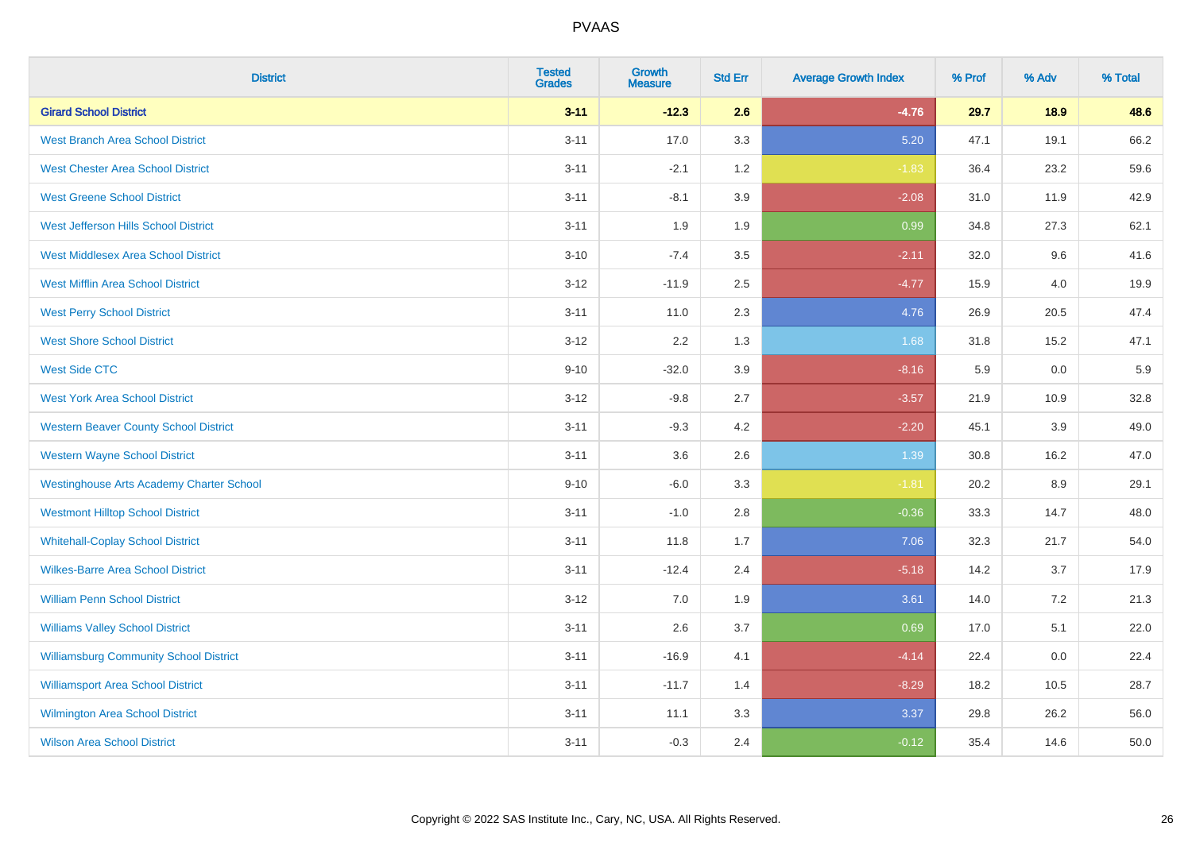| <b>District</b>                                 | <b>Tested</b><br><b>Grades</b> | <b>Growth</b><br><b>Measure</b> | <b>Std Err</b> | <b>Average Growth Index</b> | % Prof | % Adv | % Total |
|-------------------------------------------------|--------------------------------|---------------------------------|----------------|-----------------------------|--------|-------|---------|
| <b>Girard School District</b>                   | $3 - 11$                       | $-12.3$                         | 2.6            | $-4.76$                     | 29.7   | 18.9  | 48.6    |
| <b>West Branch Area School District</b>         | $3 - 11$                       | 17.0                            | 3.3            | 5.20                        | 47.1   | 19.1  | 66.2    |
| <b>West Chester Area School District</b>        | $3 - 11$                       | $-2.1$                          | 1.2            | $-1.83$                     | 36.4   | 23.2  | 59.6    |
| <b>West Greene School District</b>              | $3 - 11$                       | $-8.1$                          | 3.9            | $-2.08$                     | 31.0   | 11.9  | 42.9    |
| West Jefferson Hills School District            | $3 - 11$                       | 1.9                             | 1.9            | 0.99                        | 34.8   | 27.3  | 62.1    |
| <b>West Middlesex Area School District</b>      | $3 - 10$                       | $-7.4$                          | 3.5            | $-2.11$                     | 32.0   | 9.6   | 41.6    |
| <b>West Mifflin Area School District</b>        | $3 - 12$                       | $-11.9$                         | 2.5            | $-4.77$                     | 15.9   | 4.0   | 19.9    |
| <b>West Perry School District</b>               | $3 - 11$                       | 11.0                            | 2.3            | 4.76                        | 26.9   | 20.5  | 47.4    |
| <b>West Shore School District</b>               | $3 - 12$                       | 2.2                             | 1.3            | 1.68                        | 31.8   | 15.2  | 47.1    |
| <b>West Side CTC</b>                            | $9 - 10$                       | $-32.0$                         | 3.9            | $-8.16$                     | 5.9    | 0.0   | 5.9     |
| <b>West York Area School District</b>           | $3 - 12$                       | $-9.8$                          | 2.7            | $-3.57$                     | 21.9   | 10.9  | 32.8    |
| <b>Western Beaver County School District</b>    | $3 - 11$                       | $-9.3$                          | 4.2            | $-2.20$                     | 45.1   | 3.9   | 49.0    |
| <b>Western Wayne School District</b>            | $3 - 11$                       | 3.6                             | 2.6            | 1.39                        | 30.8   | 16.2  | 47.0    |
| <b>Westinghouse Arts Academy Charter School</b> | $9 - 10$                       | $-6.0$                          | 3.3            | $-1.81$                     | 20.2   | 8.9   | 29.1    |
| <b>Westmont Hilltop School District</b>         | $3 - 11$                       | $-1.0$                          | 2.8            | $-0.36$                     | 33.3   | 14.7  | 48.0    |
| <b>Whitehall-Coplay School District</b>         | $3 - 11$                       | 11.8                            | 1.7            | 7.06                        | 32.3   | 21.7  | 54.0    |
| <b>Wilkes-Barre Area School District</b>        | $3 - 11$                       | $-12.4$                         | 2.4            | $-5.18$                     | 14.2   | 3.7   | 17.9    |
| <b>William Penn School District</b>             | $3 - 12$                       | 7.0                             | 1.9            | 3.61                        | 14.0   | 7.2   | 21.3    |
| <b>Williams Valley School District</b>          | $3 - 11$                       | 2.6                             | 3.7            | 0.69                        | 17.0   | 5.1   | 22.0    |
| <b>Williamsburg Community School District</b>   | $3 - 11$                       | $-16.9$                         | 4.1            | $-4.14$                     | 22.4   | 0.0   | 22.4    |
| <b>Williamsport Area School District</b>        | $3 - 11$                       | $-11.7$                         | 1.4            | $-8.29$                     | 18.2   | 10.5  | 28.7    |
| Wilmington Area School District                 | $3 - 11$                       | 11.1                            | 3.3            | 3.37                        | 29.8   | 26.2  | 56.0    |
| <b>Wilson Area School District</b>              | $3 - 11$                       | $-0.3$                          | 2.4            | $-0.12$                     | 35.4   | 14.6  | 50.0    |